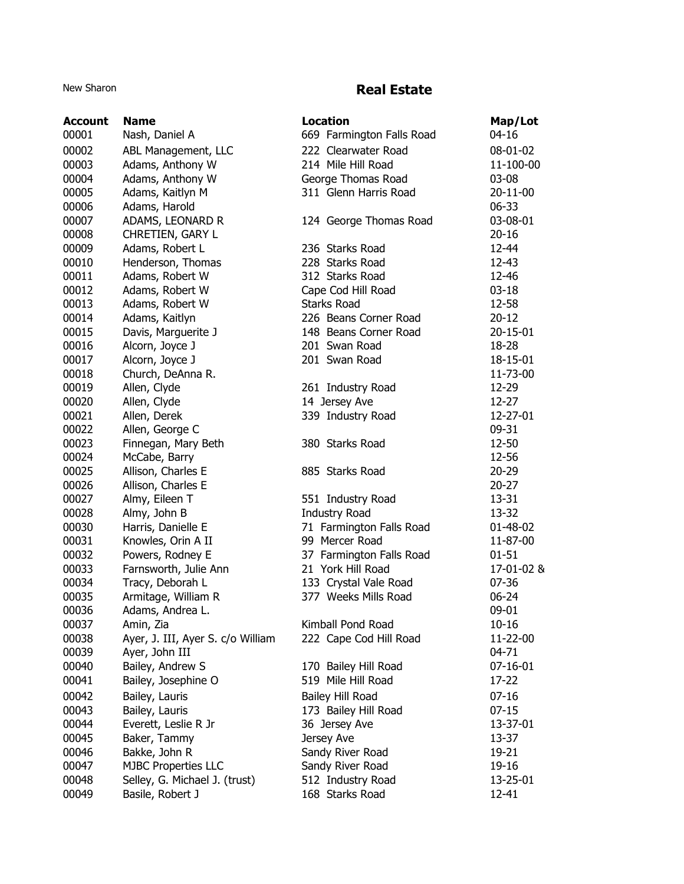## New Sharon **Real Estate**

| <b>Account</b> | <b>Name</b>                       | <b>Location</b>           | Map/Lot        |
|----------------|-----------------------------------|---------------------------|----------------|
| 00001          | Nash, Daniel A                    | 669 Farmington Falls Road | $04 - 16$      |
| 00002          | ABL Management, LLC               | 222 Clearwater Road       | 08-01-02       |
| 00003          | Adams, Anthony W                  | 214 Mile Hill Road        | 11-100-00      |
| 00004          | Adams, Anthony W                  | George Thomas Road        | 03-08          |
| 00005          | Adams, Kaitlyn M                  | 311 Glenn Harris Road     | 20-11-00       |
| 00006          | Adams, Harold                     |                           | 06-33          |
| 00007          | ADAMS, LEONARD R                  | 124 George Thomas Road    | 03-08-01       |
| 00008          | CHRETIEN, GARY L                  |                           | $20 - 16$      |
| 00009          | Adams, Robert L                   | 236 Starks Road           | 12-44          |
| 00010          | Henderson, Thomas                 | 228 Starks Road           | 12-43          |
| 00011          | Adams, Robert W                   | 312 Starks Road           | 12-46          |
| 00012          | Adams, Robert W                   | Cape Cod Hill Road        | $03-18$        |
| 00013          | Adams, Robert W                   | <b>Starks Road</b>        | 12-58          |
| 00014          | Adams, Kaitlyn                    | 226 Beans Corner Road     | $20 - 12$      |
| 00015          | Davis, Marguerite J               | 148 Beans Corner Road     | 20-15-01       |
| 00016          | Alcorn, Joyce J                   | 201 Swan Road             | 18-28          |
| 00017          | Alcorn, Joyce J                   | 201 Swan Road             | 18-15-01       |
| 00018          | Church, DeAnna R.                 |                           | 11-73-00       |
| 00019          | Allen, Clyde                      | 261 Industry Road         | 12-29          |
| 00020          | Allen, Clyde                      | 14 Jersey Ave             | 12-27          |
| 00021          | Allen, Derek                      | 339 Industry Road         | 12-27-01       |
| 00022          | Allen, George C                   |                           | 09-31          |
| 00023          | Finnegan, Mary Beth               | 380 Starks Road           | 12-50          |
| 00024          | McCabe, Barry                     |                           | 12-56          |
| 00025          | Allison, Charles E                | 885 Starks Road           | $20 - 29$      |
| 00026          | Allison, Charles E                |                           | $20 - 27$      |
| 00027          | Almy, Eileen T                    | 551 Industry Road         | 13-31          |
| 00028          | Almy, John B                      | <b>Industry Road</b>      | 13-32          |
| 00030          | Harris, Danielle E                | 71 Farmington Falls Road  | 01-48-02       |
| 00031          | Knowles, Orin A II                | 99 Mercer Road            | 11-87-00       |
| 00032          | Powers, Rodney E                  | 37 Farmington Falls Road  | $01 - 51$      |
| 00033          | Farnsworth, Julie Ann             | 21 York Hill Road         | 17-01-02 &     |
| 00034          | Tracy, Deborah L                  | 133 Crystal Vale Road     | 07-36          |
| 00035          | Armitage, William R               | 377 Weeks Mills Road      | $06 - 24$      |
| 00036          | Adams, Andrea L.                  |                           | 09-01          |
| 00037          | Amin, Zia                         | Kimball Pond Road         | $10 - 16$      |
| 00038          | Ayer, J. III, Ayer S. c/o William | 222 Cape Cod Hill Road    | 11-22-00       |
| 00039          | Ayer, John III                    |                           | 04-71          |
| 00040          | Bailey, Andrew S                  | 170 Bailey Hill Road      | $07 - 16 - 01$ |
| 00041          | Bailey, Josephine O               | 519 Mile Hill Road        | 17-22          |
| 00042          | Bailey, Lauris                    | Bailey Hill Road          | $07-16$        |
| 00043          | Bailey, Lauris                    | 173 Bailey Hill Road      | $07-15$        |
| 00044          | Everett, Leslie R Jr              | 36 Jersey Ave             | 13-37-01       |
| 00045          | Baker, Tammy                      | Jersey Ave                | 13-37          |
| 00046          | Bakke, John R                     | Sandy River Road          | 19-21          |
| 00047          | <b>MJBC Properties LLC</b>        | Sandy River Road          | 19-16          |
| 00048          | Selley, G. Michael J. (trust)     | 512 Industry Road         | 13-25-01       |
| 00049          | Basile, Robert J                  | 168 Starks Road           | 12-41          |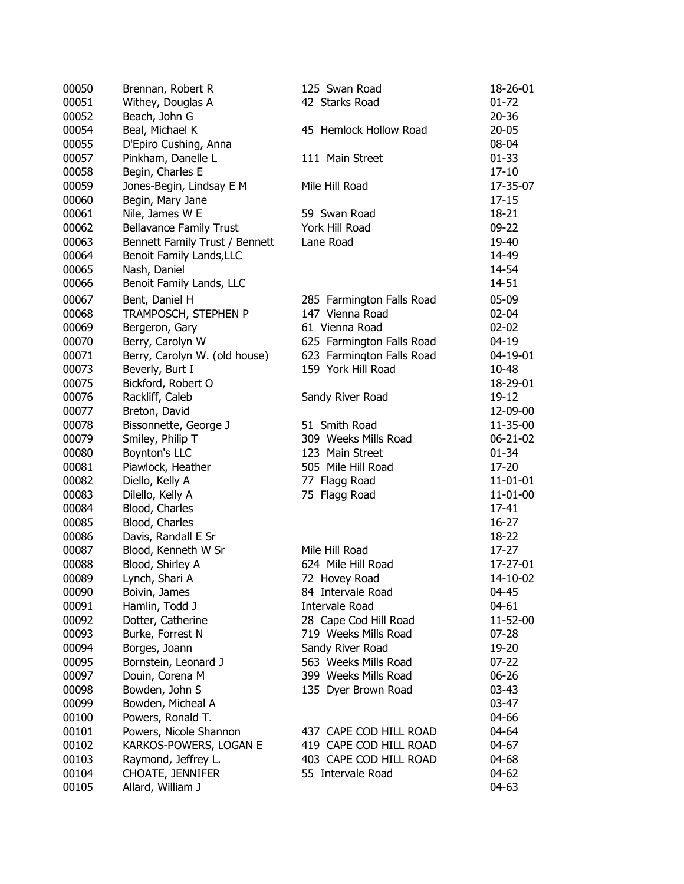| 00050 | Brennan, Robert R              | 125 Swan Road             | 18-26-01           |
|-------|--------------------------------|---------------------------|--------------------|
| 00051 | Withey, Douglas A              | 42 Starks Road            | $01 - 72$          |
| 00052 | Beach, John G                  |                           | $20 - 36$          |
| 00054 | Beal, Michael K                | 45 Hemlock Hollow Road    | $20 - 05$          |
| 00055 | D'Epiro Cushing, Anna          |                           | 08-04              |
| 00057 | Pinkham, Danelle L             | 111 Main Street           | $01 - 33$          |
| 00058 | Begin, Charles E               |                           | $17 - 10$          |
| 00059 | Jones-Begin, Lindsay E M       | Mile Hill Road            | 17-35-07           |
| 00060 | Begin, Mary Jane               |                           | $17 - 15$          |
| 00061 | Nile, James W E                | 59 Swan Road              | $18 - 21$          |
| 00062 | <b>Bellavance Family Trust</b> | York Hill Road            | 09-22              |
| 00063 | Bennett Family Trust / Bennett | Lane Road                 | 19-40              |
| 00064 | Benoit Family Lands, LLC       |                           | 14-49              |
| 00065 | Nash, Daniel                   |                           | 14-54              |
| 00066 | Benoit Family Lands, LLC       |                           | 14-51              |
| 00067 | Bent, Daniel H                 | 285 Farmington Falls Road | 05-09              |
| 00068 | TRAMPOSCH, STEPHEN P           | 147 Vienna Road           | 02-04              |
| 00069 | Bergeron, Gary                 | 61 Vienna Road            | $02 - 02$          |
| 00070 | Berry, Carolyn W               | 625 Farmington Falls Road | $04 - 19$          |
| 00071 | Berry, Carolyn W. (old house)  | 623 Farmington Falls Road | 04-19-01           |
| 00073 | Beverly, Burt I                | 159 York Hill Road        | 10-48              |
| 00075 | Bickford, Robert O             |                           | 18-29-01           |
| 00076 | Rackliff, Caleb                | Sandy River Road          | 19-12              |
| 00077 | Breton, David                  |                           | 12-09-00           |
| 00078 | Bissonnette, George J          | 51 Smith Road             | 11-35-00           |
| 00079 | Smiley, Philip T               | 309 Weeks Mills Road      | 06-21-02           |
| 00080 | Boynton's LLC                  | 123 Main Street           | $01 - 34$          |
|       |                                |                           |                    |
| 00081 | Piawlock, Heather              | 505 Mile Hill Road        | 17-20              |
| 00082 | Diello, Kelly A                | 77 Flagg Road             | 11-01-01           |
| 00083 | Dilello, Kelly A               | 75 Flagg Road             | 11-01-00           |
| 00084 | Blood, Charles                 |                           | 17-41<br>$16 - 27$ |
| 00085 | Blood, Charles                 |                           |                    |
| 00086 | Davis, Randall E Sr            |                           | 18-22              |
| 00087 | Blood, Kenneth W Sr            | Mile Hill Road            | 17-27              |
| 00088 | Blood, Shirley A               | 624 Mile Hill Road        | 17-27-01           |
| 00089 | Lynch, Shari A                 | 72 Hovey Road             | 14-10-02           |
| 00090 | Boivin, James                  | 84 Intervale Road         | 04-45              |
| 00091 | Hamlin, Todd J                 | <b>Intervale Road</b>     | 04-61              |
| 00092 | Dotter, Catherine              | 28 Cape Cod Hill Road     | 11-52-00           |
| 00093 | Burke, Forrest N               | 719 Weeks Mills Road      | 07-28              |
| 00094 | Borges, Joann                  | Sandy River Road          | 19-20              |
| 00095 | Bornstein, Leonard J           | 563 Weeks Mills Road      | $07 - 22$          |
| 00097 | Douin, Corena M                | 399 Weeks Mills Road      | 06-26              |
| 00098 | Bowden, John S                 | 135 Dyer Brown Road       | $03 - 43$          |
| 00099 | Bowden, Micheal A              |                           | 03-47              |
| 00100 | Powers, Ronald T.              |                           | 04-66              |
| 00101 | Powers, Nicole Shannon         | 437 CAPE COD HILL ROAD    | 04-64              |
| 00102 | KARKOS-POWERS, LOGAN E         | 419 CAPE COD HILL ROAD    | 04-67              |
| 00103 | Raymond, Jeffrey L.            | 403 CAPE COD HILL ROAD    | 04-68              |
| 00104 | <b>CHOATE, JENNIFER</b>        | 55 Intervale Road         | 04-62              |
| 00105 | Allard, William J              |                           | 04-63              |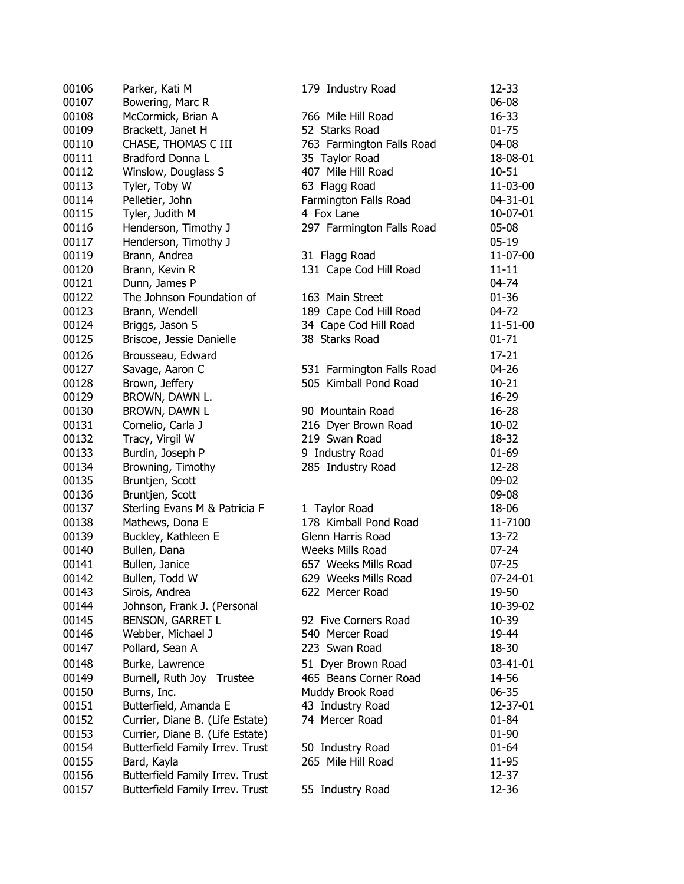| 00106 | Parker, Kati M                                         | 179 Industry Road         | 12-33     |
|-------|--------------------------------------------------------|---------------------------|-----------|
| 00107 | Bowering, Marc R                                       |                           | 06-08     |
| 00108 | McCormick, Brian A                                     | 766 Mile Hill Road        | 16-33     |
| 00109 | Brackett, Janet H                                      | 52 Starks Road            | $01 - 75$ |
| 00110 | CHASE, THOMAS C III                                    | 763 Farmington Falls Road | 04-08     |
| 00111 | Bradford Donna L                                       | 35 Taylor Road            | 18-08-01  |
| 00112 | Winslow, Douglass S                                    | 407 Mile Hill Road        | 10-51     |
| 00113 | Tyler, Toby W                                          | 63 Flagg Road             | 11-03-00  |
| 00114 | Pelletier, John                                        | Farmington Falls Road     | 04-31-01  |
| 00115 | Tyler, Judith M                                        | 4 Fox Lane                | 10-07-01  |
| 00116 | Henderson, Timothy J                                   | 297 Farmington Falls Road | 05-08     |
| 00117 | Henderson, Timothy J                                   |                           | $05-19$   |
| 00119 | Brann, Andrea                                          | 31 Flagg Road             | 11-07-00  |
| 00120 | Brann, Kevin R                                         | 131 Cape Cod Hill Road    | $11 - 11$ |
| 00121 | Dunn, James P                                          |                           | 04-74     |
| 00122 | The Johnson Foundation of                              | 163 Main Street           | $01 - 36$ |
| 00123 | Brann, Wendell                                         | 189 Cape Cod Hill Road    | 04-72     |
| 00124 | Briggs, Jason S                                        | 34 Cape Cod Hill Road     | 11-51-00  |
| 00125 | Briscoe, Jessie Danielle                               | 38 Starks Road            | $01 - 71$ |
| 00126 | Brousseau, Edward                                      |                           | $17 - 21$ |
| 00127 | Savage, Aaron C                                        | 531 Farmington Falls Road | 04-26     |
| 00128 | Brown, Jeffery                                         | 505 Kimball Pond Road     | $10 - 21$ |
| 00129 | BROWN, DAWN L.                                         |                           | 16-29     |
| 00130 | BROWN, DAWN L                                          | 90 Mountain Road          | $16 - 28$ |
| 00131 | Cornelio, Carla J                                      | 216 Dyer Brown Road       | $10 - 02$ |
| 00132 | Tracy, Virgil W                                        | 219 Swan Road             | 18-32     |
| 00133 | Burdin, Joseph P                                       | 9 Industry Road           | $01 - 69$ |
| 00134 | Browning, Timothy                                      | 285 Industry Road         | 12-28     |
| 00135 | Bruntjen, Scott                                        |                           | 09-02     |
| 00136 | Bruntjen, Scott                                        |                           | 09-08     |
| 00137 | Sterling Evans M & Patricia F                          | 1 Taylor Road             | 18-06     |
| 00138 | Mathews, Dona E                                        | 178 Kimball Pond Road     | 11-7100   |
| 00139 | Buckley, Kathleen E                                    | Glenn Harris Road         | 13-72     |
| 00140 | Bullen, Dana                                           | Weeks Mills Road          | $07 - 24$ |
| 00141 | Bullen, Janice                                         | 657 Weeks Mills Road      | $07 - 25$ |
| 00142 | Bullen, Todd W                                         | 629 Weeks Mills Road      | 07-24-01  |
| 00143 |                                                        | 622 Mercer Road           | 19-50     |
| 00144 | Sirois, Andrea                                         |                           | 10-39-02  |
| 00145 | Johnson, Frank J. (Personal<br><b>BENSON, GARRET L</b> | 92 Five Corners Road      | 10-39     |
| 00146 | Webber, Michael J                                      | 540 Mercer Road           | 19-44     |
| 00147 |                                                        | 223 Swan Road             | 18-30     |
|       | Pollard, Sean A                                        |                           |           |
| 00148 | Burke, Lawrence                                        | 51 Dyer Brown Road        | 03-41-01  |
| 00149 | Burnell, Ruth Joy Trustee                              | 465 Beans Corner Road     | 14-56     |
| 00150 | Burns, Inc.                                            | Muddy Brook Road          | 06-35     |
| 00151 | Butterfield, Amanda E                                  | 43 Industry Road          | 12-37-01  |
| 00152 | Currier, Diane B. (Life Estate)                        | 74 Mercer Road            | $01 - 84$ |
| 00153 | Currier, Diane B. (Life Estate)                        |                           | 01-90     |
| 00154 | Butterfield Family Irrev. Trust                        | 50 Industry Road          | $01 - 64$ |
| 00155 | Bard, Kayla                                            | 265 Mile Hill Road        | 11-95     |
| 00156 | Butterfield Family Irrev. Trust                        |                           | 12-37     |
| 00157 | Butterfield Family Irrev. Trust                        | 55 Industry Road          | 12-36     |
|       |                                                        |                           |           |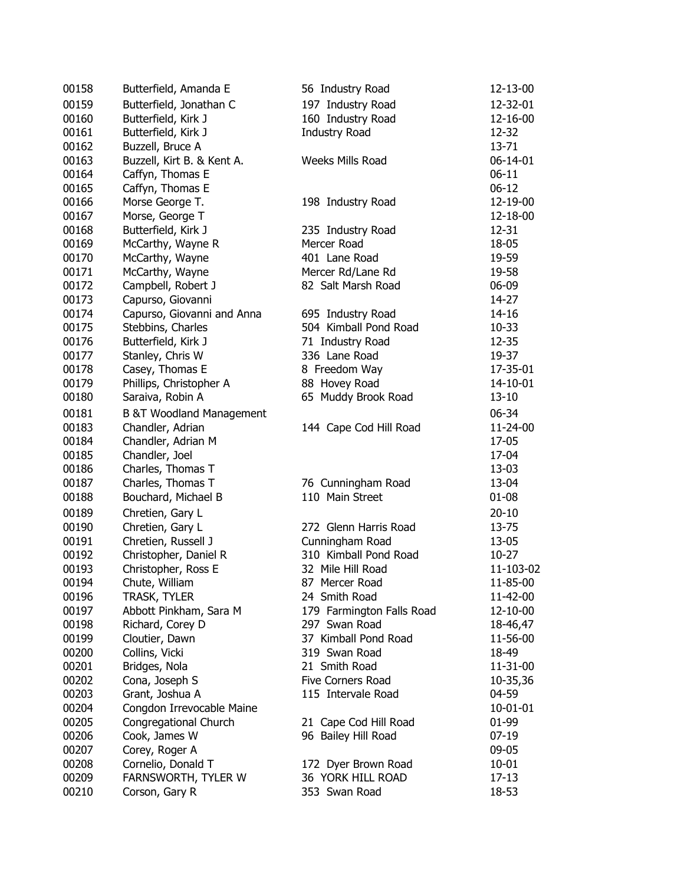| 00158 | Butterfield, Amanda E                   | 56 Industry Road                         | 12-13-00           |
|-------|-----------------------------------------|------------------------------------------|--------------------|
| 00159 | Butterfield, Jonathan C                 | 197 Industry Road                        | 12-32-01           |
| 00160 | Butterfield, Kirk J                     | 160 Industry Road                        | 12-16-00           |
| 00161 | Butterfield, Kirk J                     | <b>Industry Road</b>                     | 12-32              |
| 00162 | Buzzell, Bruce A                        |                                          | $13 - 71$          |
| 00163 | Buzzell, Kirt B. & Kent A.              | Weeks Mills Road                         | 06-14-01           |
| 00164 | Caffyn, Thomas E                        |                                          | $06-11$            |
| 00165 | Caffyn, Thomas E                        |                                          | $06-12$            |
| 00166 | Morse George T.                         | 198 Industry Road                        | 12-19-00           |
| 00167 | Morse, George T                         |                                          | 12-18-00           |
| 00168 | Butterfield, Kirk J                     | 235 Industry Road                        | 12-31              |
| 00169 | McCarthy, Wayne R                       | Mercer Road                              | 18-05              |
| 00170 | McCarthy, Wayne                         | 401 Lane Road                            | 19-59              |
| 00171 | McCarthy, Wayne                         | Mercer Rd/Lane Rd                        | 19-58              |
| 00172 | Campbell, Robert J                      | 82 Salt Marsh Road                       | 06-09              |
| 00173 | Capurso, Giovanni                       |                                          | 14-27              |
| 00174 | Capurso, Giovanni and Anna              | 695 Industry Road                        | $14 - 16$          |
| 00175 | Stebbins, Charles                       | 504 Kimball Pond Road                    | $10 - 33$          |
| 00176 | Butterfield, Kirk J                     | 71 Industry Road                         | 12-35              |
| 00177 | Stanley, Chris W                        | 336 Lane Road                            | 19-37              |
| 00178 | Casey, Thomas E                         | 8 Freedom Way                            | 17-35-01           |
| 00179 | Phillips, Christopher A                 | 88 Hovey Road                            | 14-10-01           |
| 00180 | Saraiva, Robin A                        | 65 Muddy Brook Road                      | $13 - 10$          |
| 00181 | <b>B &amp;T Woodland Management</b>     |                                          | 06-34              |
| 00183 | Chandler, Adrian                        | 144 Cape Cod Hill Road                   | 11-24-00           |
| 00184 | Chandler, Adrian M                      |                                          | 17-05              |
| 00185 | Chandler, Joel                          |                                          | 17-04              |
| 00186 | Charles, Thomas T                       |                                          | 13-03              |
| 00187 | Charles, Thomas T                       | 76 Cunningham Road                       | 13-04              |
| 00188 | Bouchard, Michael B                     | 110 Main Street                          | $01 - 08$          |
| 00189 |                                         |                                          |                    |
| 00190 | Chretien, Gary L                        | 272 Glenn Harris Road                    | $20 - 10$<br>13-75 |
| 00191 | Chretien, Gary L<br>Chretien, Russell J |                                          | 13-05              |
| 00192 | Christopher, Daniel R                   | Cunningham Road<br>310 Kimball Pond Road | $10-27$            |
| 00193 |                                         | 32 Mile Hill Road                        | 11-103-02          |
|       | Christopher, Ross E                     |                                          | 11-85-00           |
| 00194 | Chute, William<br><b>TRASK, TYLER</b>   | 87 Mercer Road<br>24 Smith Road          |                    |
| 00196 |                                         | 179 Farmington Falls Road                | 11-42-00           |
| 00197 | Abbott Pinkham, Sara M                  | 297 Swan Road                            | 12-10-00           |
| 00198 | Richard, Corey D                        | 37 Kimball Pond Road                     | 18-46,47           |
| 00199 | Cloutier, Dawn                          |                                          | 11-56-00           |
| 00200 | Collins, Vicki                          | 319 Swan Road<br>21 Smith Road           | 18-49              |
| 00201 | Bridges, Nola                           |                                          | 11-31-00           |
| 00202 | Cona, Joseph S                          | Five Corners Road                        | 10-35,36           |
| 00203 | Grant, Joshua A                         | 115 Intervale Road                       | 04-59              |
| 00204 | Congdon Irrevocable Maine               |                                          | 10-01-01           |
| 00205 | Congregational Church                   | 21 Cape Cod Hill Road                    | 01-99              |
| 00206 | Cook, James W                           | 96 Bailey Hill Road                      | 07-19              |
| 00207 | Corey, Roger A                          |                                          | 09-05              |
| 00208 | Cornelio, Donald T                      | 172 Dyer Brown Road                      | $10 - 01$          |
| 00209 | FARNSWORTH, TYLER W                     | 36 YORK HILL ROAD                        | $17-13$            |
| 00210 | Corson, Gary R                          | 353 Swan Road                            | 18-53              |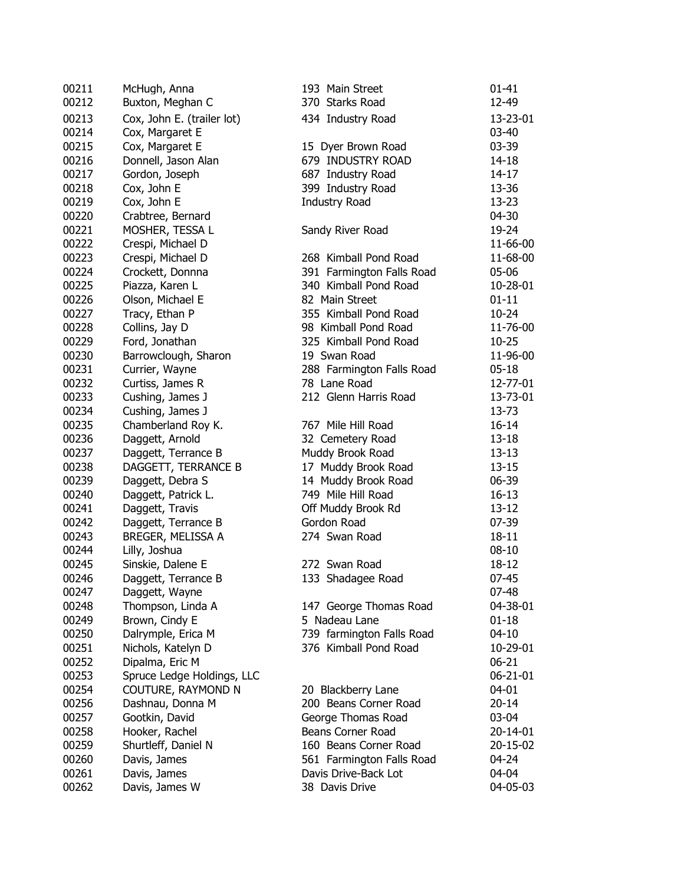| 00211 | McHugh, Anna               | 193 Main Street           | $01 - 41$      |
|-------|----------------------------|---------------------------|----------------|
| 00212 | Buxton, Meghan C           | 370 Starks Road           | 12-49          |
| 00213 | Cox, John E. (trailer lot) | 434 Industry Road         | 13-23-01       |
| 00214 | Cox, Margaret E            |                           | 03-40          |
| 00215 | Cox, Margaret E            | 15 Dyer Brown Road        | 03-39          |
| 00216 | Donnell, Jason Alan        | 679 INDUSTRY ROAD         | $14 - 18$      |
| 00217 | Gordon, Joseph             | 687 Industry Road         | $14 - 17$      |
| 00218 | Cox, John E                | 399 Industry Road         | 13-36          |
| 00219 | Cox, John E                | <b>Industry Road</b>      | $13 - 23$      |
| 00220 | Crabtree, Bernard          |                           | 04-30          |
| 00221 | MOSHER, TESSA L            | Sandy River Road          | 19-24          |
| 00222 | Crespi, Michael D          |                           | 11-66-00       |
| 00223 | Crespi, Michael D          | 268 Kimball Pond Road     | 11-68-00       |
| 00224 | Crockett, Donnna           | 391 Farmington Falls Road | 05-06          |
| 00225 | Piazza, Karen L            | 340 Kimball Pond Road     | 10-28-01       |
| 00226 | Olson, Michael E           | 82 Main Street            | $01 - 11$      |
| 00227 | Tracy, Ethan P             | 355 Kimball Pond Road     | $10 - 24$      |
| 00228 | Collins, Jay D             | 98 Kimball Pond Road      | 11-76-00       |
| 00229 | Ford, Jonathan             | 325 Kimball Pond Road     | $10 - 25$      |
| 00230 | Barrowclough, Sharon       | 19 Swan Road              | 11-96-00       |
| 00231 | Currier, Wayne             | 288 Farmington Falls Road | $05 - 18$      |
| 00232 | Curtiss, James R           | 78 Lane Road              | 12-77-01       |
| 00233 | Cushing, James J           | 212 Glenn Harris Road     | 13-73-01       |
| 00234 | Cushing, James J           |                           | 13-73          |
| 00235 | Chamberland Roy K.         | 767 Mile Hill Road        | $16 - 14$      |
| 00236 | Daggett, Arnold            | 32 Cemetery Road          | $13 - 18$      |
| 00237 | Daggett, Terrance B        | Muddy Brook Road          | $13-13$        |
| 00238 | DAGGETT, TERRANCE B        | 17 Muddy Brook Road       | $13 - 15$      |
| 00239 | Daggett, Debra S           | 14 Muddy Brook Road       | 06-39          |
| 00240 | Daggett, Patrick L.        | 749 Mile Hill Road        | $16 - 13$      |
| 00241 | Daggett, Travis            | Off Muddy Brook Rd        | $13 - 12$      |
| 00242 | Daggett, Terrance B        | Gordon Road               | 07-39          |
| 00243 | BREGER, MELISSA A          | 274 Swan Road             | $18 - 11$      |
| 00244 | Lilly, Joshua              |                           | $08 - 10$      |
| 00245 | Sinskie, Dalene E          | 272 Swan Road             | 18-12          |
| 00246 | Daggett, Terrance B        | 133 Shadagee Road         | $07 - 45$      |
| 00247 | Daggett, Wayne             |                           | $07 - 48$      |
| 00248 | Thompson, Linda A          | 147 George Thomas Road    | 04-38-01       |
| 00249 | Brown, Cindy E             | 5 Nadeau Lane             | $01 - 18$      |
| 00250 | Dalrymple, Erica M         | 739 farmington Falls Road | $04 - 10$      |
| 00251 | Nichols, Katelyn D         | 376 Kimball Pond Road     | 10-29-01       |
| 00252 | Dipalma, Eric M            |                           | $06 - 21$      |
| 00253 | Spruce Ledge Holdings, LLC |                           | $06 - 21 - 01$ |
| 00254 | COUTURE, RAYMOND N         | 20 Blackberry Lane        | $04 - 01$      |
| 00256 | Dashnau, Donna M           | 200 Beans Corner Road     | $20 - 14$      |
| 00257 | Gootkin, David             | George Thomas Road        | 03-04          |
| 00258 | Hooker, Rachel             | Beans Corner Road         | 20-14-01       |
| 00259 | Shurtleff, Daniel N        | 160 Beans Corner Road     | 20-15-02       |
| 00260 | Davis, James               | 561 Farmington Falls Road | 04-24          |
| 00261 | Davis, James               | Davis Drive-Back Lot      | 04-04          |
| 00262 | Davis, James W             | 38 Davis Drive            | 04-05-03       |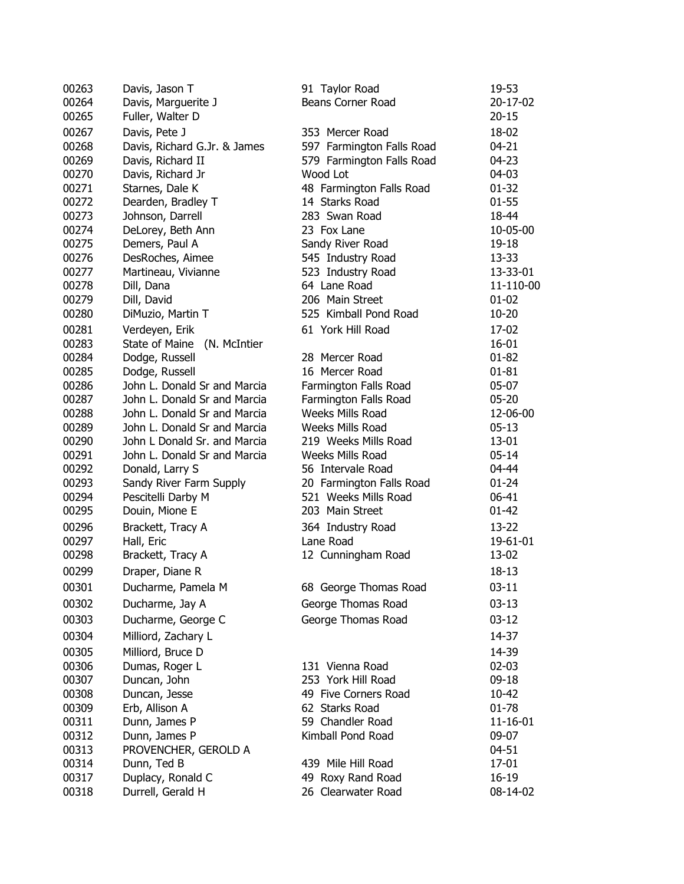| 00263          | Davis, Jason T                                               | 91 Taylor Road                                   | 19-53                  |
|----------------|--------------------------------------------------------------|--------------------------------------------------|------------------------|
| 00264          | Davis, Marguerite J                                          | Beans Corner Road                                | 20-17-02               |
| 00265          | Fuller, Walter D                                             |                                                  | $20 - 15$              |
| 00267          | Davis, Pete J                                                | 353 Mercer Road                                  | 18-02                  |
| 00268          | Davis, Richard G.Jr. & James                                 | 597 Farmington Falls Road                        | $04 - 21$              |
| 00269          | Davis, Richard II                                            | 579 Farmington Falls Road                        | $04 - 23$              |
| 00270          | Davis, Richard Jr                                            | Wood Lot                                         | 04-03                  |
| 00271          | Starnes, Dale K                                              | 48 Farmington Falls Road                         | $01 - 32$              |
| 00272          | Dearden, Bradley T                                           | 14 Starks Road                                   | $01 - 55$              |
| 00273          | Johnson, Darrell                                             | 283 Swan Road                                    | 18-44                  |
| 00274          | DeLorey, Beth Ann                                            | 23 Fox Lane                                      | 10-05-00               |
| 00275          | Demers, Paul A                                               | Sandy River Road                                 | 19-18                  |
| 00276          | DesRoches, Aimee                                             | 545 Industry Road                                | 13-33                  |
| 00277          | Martineau, Vivianne                                          | 523 Industry Road                                | 13-33-01               |
| 00278          | Dill, Dana                                                   | 64 Lane Road                                     | 11-110-00              |
| 00279          | Dill, David                                                  | 206 Main Street                                  | $01 - 02$              |
| 00280          | DiMuzio, Martin T                                            | 525 Kimball Pond Road                            | $10 - 20$              |
|                |                                                              |                                                  |                        |
| 00281          | Verdeyen, Erik                                               | 61 York Hill Road                                | 17-02                  |
| 00283          | State of Maine (N. McIntier                                  |                                                  | $16 - 01$              |
| 00284          | Dodge, Russell                                               | 28 Mercer Road                                   | $01 - 82$              |
| 00285          | Dodge, Russell<br>John L. Donald Sr and Marcia               | 16 Mercer Road                                   | $01 - 81$              |
| 00286          |                                                              | Farmington Falls Road                            | $05-07$                |
| 00287          | John L. Donald Sr and Marcia                                 | Farmington Falls Road<br><b>Weeks Mills Road</b> | $05 - 20$              |
| 00288          | John L. Donald Sr and Marcia                                 |                                                  | 12-06-00               |
| 00289          | John L. Donald Sr and Marcia                                 | <b>Weeks Mills Road</b>                          | $05-13$                |
| 00290          | John L Donald Sr. and Marcia<br>John L. Donald Sr and Marcia | 219 Weeks Mills Road                             | $13 - 01$<br>$05 - 14$ |
| 00291          |                                                              | Weeks Mills Road                                 |                        |
| 00292<br>00293 | Donald, Larry S                                              | 56 Intervale Road                                | 04-44<br>$01 - 24$     |
| 00294          | Sandy River Farm Supply                                      | 20 Farmington Falls Road<br>521 Weeks Mills Road | 06-41                  |
|                | Pescitelli Darby M                                           | 203 Main Street                                  | $01 - 42$              |
| 00295          | Douin, Mione E                                               |                                                  |                        |
| 00296          | Brackett, Tracy A                                            | 364 Industry Road                                | 13-22                  |
| 00297          | Hall, Eric                                                   | Lane Road                                        | 19-61-01               |
| 00298          | Brackett, Tracy A                                            | 12 Cunningham Road                               | 13-02                  |
| 00299          | Draper, Diane R                                              |                                                  | $18 - 13$              |
| 00301          | Ducharme, Pamela M                                           | 68 George Thomas Road                            | $03 - 11$              |
| 00302          | Ducharme, Jay A                                              | George Thomas Road                               | $03-13$                |
| 00303          | Ducharme, George C                                           | George Thomas Road                               | $03 - 12$              |
| 00304          | Milliord, Zachary L                                          |                                                  | 14-37                  |
| 00305          | Milliord, Bruce D                                            |                                                  | 14-39                  |
| 00306          | Dumas, Roger L                                               | 131 Vienna Road                                  | $02 - 03$              |
| 00307          | Duncan, John                                                 | 253 York Hill Road                               | $09-18$                |
| 00308          | Duncan, Jesse                                                | 49 Five Corners Road                             | 10-42                  |
| 00309          | Erb, Allison A                                               | 62 Starks Road                                   | $01 - 78$              |
| 00311          | Dunn, James P                                                | 59 Chandler Road                                 | 11-16-01               |
| 00312          | Dunn, James P                                                | Kimball Pond Road                                | 09-07                  |
| 00313          | PROVENCHER, GEROLD A                                         |                                                  | 04-51                  |
| 00314          | Dunn, Ted B                                                  | 439 Mile Hill Road                               | $17 - 01$              |
| 00317          | Duplacy, Ronald C                                            | 49 Roxy Rand Road                                | $16 - 19$              |
| 00318          | Durrell, Gerald H                                            | 26 Clearwater Road                               | 08-14-02               |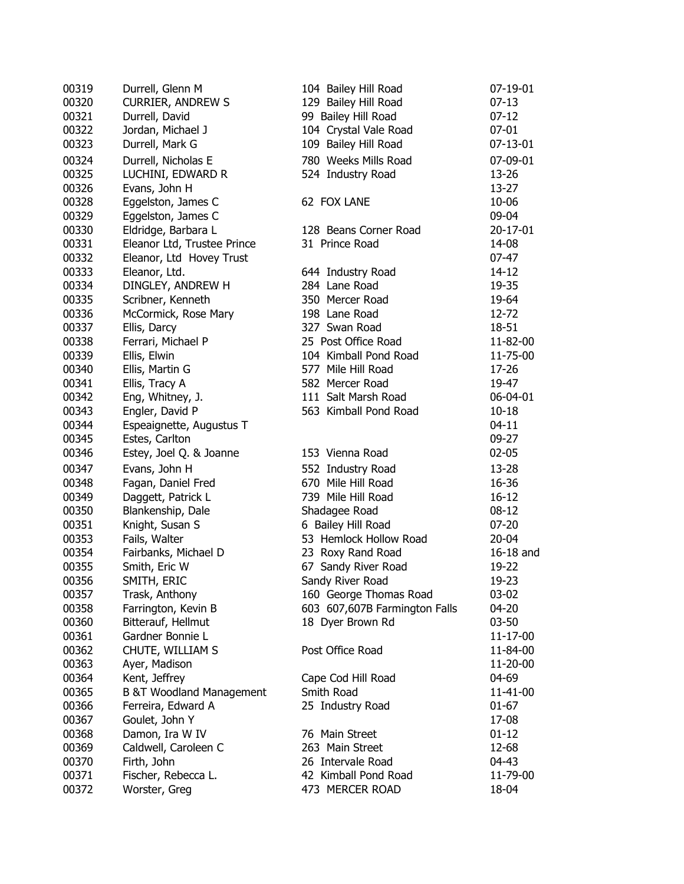| 00319          | Durrell, Glenn M                    | 104 Bailey Hill Road              | 07-19-01  |
|----------------|-------------------------------------|-----------------------------------|-----------|
| 00320          | <b>CURRIER, ANDREW S</b>            | 129 Bailey Hill Road              | $07 - 13$ |
| 00321          | Durrell, David                      | 99 Bailey Hill Road               | $07-12$   |
| 00322          | Jordan, Michael J                   | 104 Crystal Vale Road             | $07 - 01$ |
| 00323          | Durrell, Mark G                     | 109 Bailey Hill Road              | 07-13-01  |
| 00324          | Durrell, Nicholas E                 | 780 Weeks Mills Road              | 07-09-01  |
| 00325          | LUCHINI, EDWARD R                   | 524 Industry Road                 | 13-26     |
| 00326          | Evans, John H                       |                                   | 13-27     |
| 00328          | Eggelston, James C                  | 62 FOX LANE                       | 10-06     |
| 00329          | Eggelston, James C                  |                                   | 09-04     |
| 00330          | Eldridge, Barbara L                 | 128 Beans Corner Road             | 20-17-01  |
| 00331          | Eleanor Ltd, Trustee Prince         | 31 Prince Road                    | 14-08     |
| 00332          | Eleanor, Ltd Hovey Trust            |                                   | $07 - 47$ |
| 00333          | Eleanor, Ltd.                       | 644 Industry Road                 | 14-12     |
| 00334          | DINGLEY, ANDREW H                   | 284 Lane Road                     | 19-35     |
| 00335          | Scribner, Kenneth                   | 350 Mercer Road                   | 19-64     |
| 00336          | McCormick, Rose Mary                | 198 Lane Road                     | 12-72     |
| 00337          | Ellis, Darcy                        | 327 Swan Road                     | $18 - 51$ |
| 00338          | Ferrari, Michael P                  | 25 Post Office Road               | 11-82-00  |
| 00339          | Ellis, Elwin                        | 104 Kimball Pond Road             | 11-75-00  |
| 00340          | Ellis, Martin G                     | 577 Mile Hill Road                | 17-26     |
| 00341          | Ellis, Tracy A                      | 582 Mercer Road                   | 19-47     |
| 00342          | Eng, Whitney, J.                    | 111 Salt Marsh Road               | 06-04-01  |
| 00343          | Engler, David P                     | 563 Kimball Pond Road             | $10 - 18$ |
| 00344          | Espeaignette, Augustus T            |                                   | $04-11$   |
| 00345          | Estes, Carlton                      |                                   | 09-27     |
| 00346          | Estey, Joel Q. & Joanne             | 153 Vienna Road                   | $02 - 05$ |
| 00347          | Evans, John H                       | 552 Industry Road                 | 13-28     |
| 00348          | Fagan, Daniel Fred                  | 670 Mile Hill Road                | 16-36     |
| 00349          | Daggett, Patrick L                  | 739 Mile Hill Road                | $16 - 12$ |
| 00350          | Blankenship, Dale                   | Shadagee Road                     | $08-12$   |
| 00351          | Knight, Susan S                     | 6 Bailey Hill Road                | $07 - 20$ |
| 00353          | Fails, Walter                       | 53 Hemlock Hollow Road            | $20 - 04$ |
| 00354          | Fairbanks, Michael D                | 23 Roxy Rand Road                 | 16-18 and |
| 00355          | Smith, Eric W                       | 67 Sandy River Road               | 19-22     |
| 00356          | SMITH, ERIC                         | Sandy River Road                  | 19-23     |
| 00357          | Trask, Anthony                      | 160 George Thomas Road            | 03-02     |
| 00358          | Farrington, Kevin B                 | 603 607,607B Farmington Falls     | 04-20     |
| 00360          | Bitterauf, Hellmut                  | 18 Dyer Brown Rd                  | $03 - 50$ |
| 00361          | Gardner Bonnie L                    |                                   | 11-17-00  |
| 00362          | CHUTE, WILLIAM S                    | Post Office Road                  | 11-84-00  |
| 00363          | Ayer, Madison                       |                                   | 11-20-00  |
| 00364          | Kent, Jeffrey                       | Cape Cod Hill Road                | 04-69     |
|                | <b>B &amp;T Woodland Management</b> | Smith Road                        | 11-41-00  |
| 00365<br>00366 | Ferreira, Edward A                  | 25 Industry Road                  | $01 - 67$ |
|                | Goulet, John Y                      |                                   | 17-08     |
| 00367          |                                     |                                   |           |
| 00368          | Damon, Ira W IV                     | 76 Main Street<br>263 Main Street | $01 - 12$ |
| 00369          | Caldwell, Caroleen C                |                                   | 12-68     |
| 00370          | Firth, John                         | 26 Intervale Road                 | 04-43     |
| 00371          | Fischer, Rebecca L.                 | 42 Kimball Pond Road              | 11-79-00  |
| 00372          | Worster, Greg                       | 473 MERCER ROAD                   | 18-04     |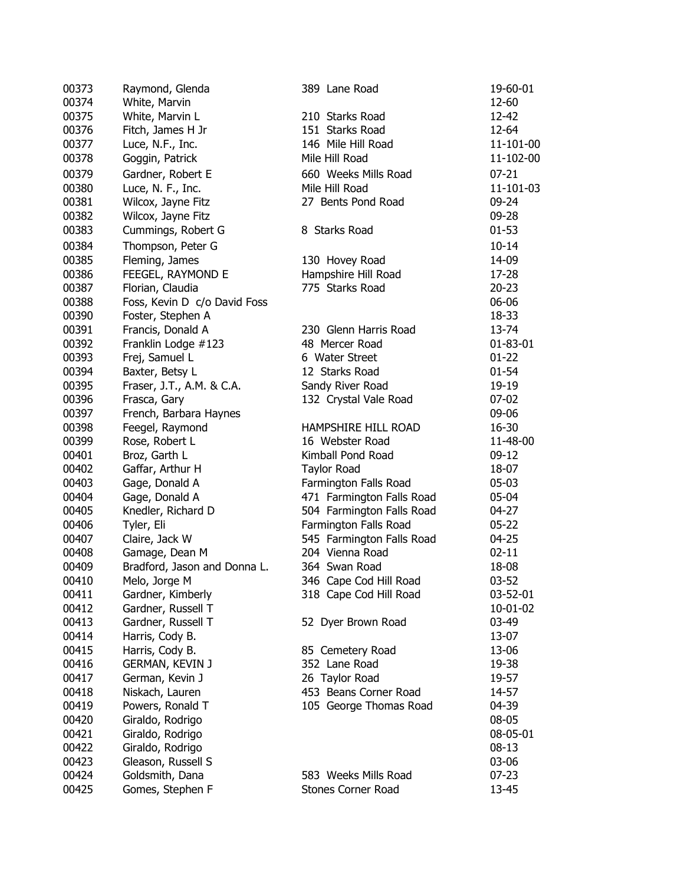| 00373 | Raymond, Glenda              | 389 Lane Road             | 19-60-01  |
|-------|------------------------------|---------------------------|-----------|
| 00374 | White, Marvin                |                           | 12-60     |
| 00375 | White, Marvin L              | 210 Starks Road           | 12-42     |
| 00376 | Fitch, James H Jr            | 151 Starks Road           | 12-64     |
| 00377 | Luce, N.F., Inc.             | 146 Mile Hill Road        | 11-101-00 |
| 00378 | Goggin, Patrick              | Mile Hill Road            | 11-102-00 |
| 00379 | Gardner, Robert E            | 660 Weeks Mills Road      | $07 - 21$ |
| 00380 | Luce, N. F., Inc.            | Mile Hill Road            | 11-101-03 |
| 00381 | Wilcox, Jayne Fitz           | 27 Bents Pond Road        | 09-24     |
| 00382 | Wilcox, Jayne Fitz           |                           | 09-28     |
| 00383 | Cummings, Robert G           | 8 Starks Road             | $01 - 53$ |
| 00384 | Thompson, Peter G            |                           | $10 - 14$ |
| 00385 | Fleming, James               | 130 Hovey Road            | 14-09     |
| 00386 | FEEGEL, RAYMOND E            | Hampshire Hill Road       | 17-28     |
| 00387 | Florian, Claudia             | 775 Starks Road           | $20 - 23$ |
| 00388 | Foss, Kevin D c/o David Foss |                           | 06-06     |
| 00390 | Foster, Stephen A            |                           | 18-33     |
| 00391 | Francis, Donald A            | 230 Glenn Harris Road     | 13-74     |
| 00392 | Franklin Lodge #123          | 48 Mercer Road            | 01-83-01  |
| 00393 | Frej, Samuel L               | 6 Water Street            | $01 - 22$ |
| 00394 | Baxter, Betsy L              | 12 Starks Road            | $01 - 54$ |
| 00395 | Fraser, J.T., A.M. & C.A.    | Sandy River Road          | 19-19     |
| 00396 | Frasca, Gary                 | 132 Crystal Vale Road     | $07 - 02$ |
| 00397 | French, Barbara Haynes       |                           | 09-06     |
| 00398 | Feegel, Raymond              | HAMPSHIRE HILL ROAD       | 16-30     |
| 00399 | Rose, Robert L               | 16 Webster Road           | 11-48-00  |
| 00401 | Broz, Garth L                | Kimball Pond Road         | $09-12$   |
| 00402 | Gaffar, Arthur H             | <b>Taylor Road</b>        | 18-07     |
| 00403 | Gage, Donald A               | Farmington Falls Road     | $05-03$   |
| 00404 | Gage, Donald A               | 471 Farmington Falls Road | 05-04     |
| 00405 | Knedler, Richard D           | 504 Farmington Falls Road | 04-27     |
| 00406 | Tyler, Eli                   | Farmington Falls Road     | $05 - 22$ |
| 00407 | Claire, Jack W               | 545 Farmington Falls Road | $04 - 25$ |
| 00408 | Gamage, Dean M               | 204 Vienna Road           | $02 - 11$ |
| 00409 | Bradford, Jason and Donna L. | 364 Swan Road             | 18-08     |
| 00410 | Melo, Jorge M                | 346 Cape Cod Hill Road    | 03-52     |
| 00411 | Gardner, Kimberly            | 318 Cape Cod Hill Road    | 03-52-01  |
| 00412 | Gardner, Russell T           |                           | 10-01-02  |
| 00413 | Gardner, Russell T           | 52 Dyer Brown Road        | 03-49     |
| 00414 | Harris, Cody B.              |                           | 13-07     |
| 00415 | Harris, Cody B.              | 85 Cemetery Road          | 13-06     |
| 00416 |                              | 352 Lane Road             | 19-38     |
|       | <b>GERMAN, KEVIN J</b>       |                           |           |
| 00417 | German, Kevin J              | 26 Taylor Road            | 19-57     |
| 00418 | Niskach, Lauren              | 453 Beans Corner Road     | 14-57     |
| 00419 | Powers, Ronald T             | 105 George Thomas Road    | 04-39     |
| 00420 | Giraldo, Rodrigo             |                           | 08-05     |
| 00421 | Giraldo, Rodrigo             |                           | 08-05-01  |
| 00422 | Giraldo, Rodrigo             |                           | $08-13$   |
| 00423 | Gleason, Russell S           |                           | 03-06     |
| 00424 | Goldsmith, Dana              | 583 Weeks Mills Road      | $07 - 23$ |
| 00425 | Gomes, Stephen F             | Stones Corner Road        | 13-45     |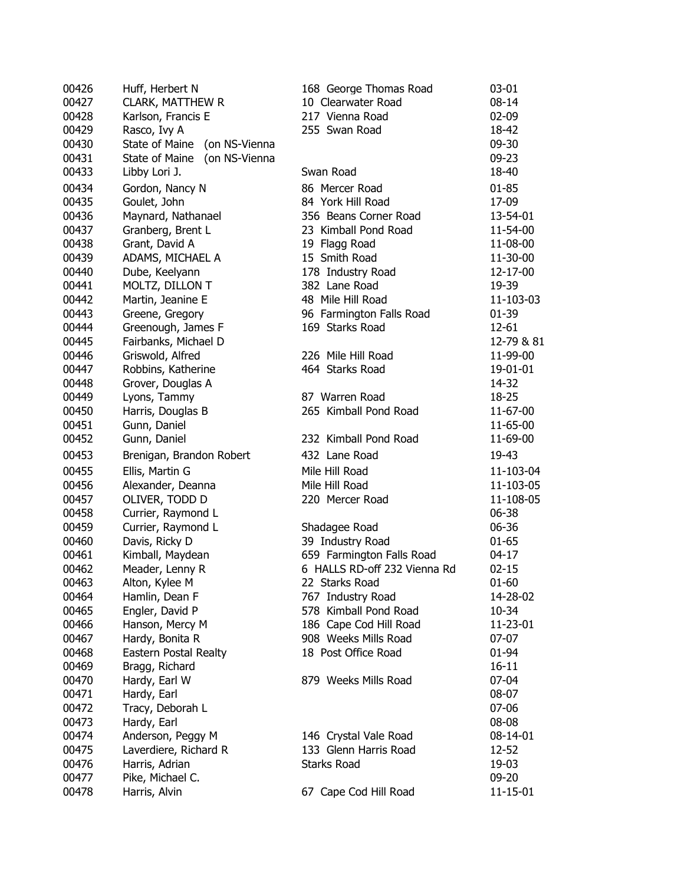| 00426 | Huff, Herbert N                 | 168 George Thomas Road       | 03-01      |
|-------|---------------------------------|------------------------------|------------|
| 00427 | CLARK, MATTHEW R                | 10 Clearwater Road           | $08 - 14$  |
| 00428 | Karlson, Francis E              | 217 Vienna Road              | 02-09      |
| 00429 | Rasco, Ivy A                    | 255 Swan Road                | 18-42      |
| 00430 | State of Maine (on NS-Vienna    |                              | 09-30      |
| 00431 | State of Maine<br>(on NS-Vienna |                              | 09-23      |
| 00433 | Libby Lori J.                   | Swan Road                    | 18-40      |
| 00434 | Gordon, Nancy N                 | 86 Mercer Road               | $01 - 85$  |
| 00435 | Goulet, John                    | 84 York Hill Road            | 17-09      |
| 00436 | Maynard, Nathanael              | 356 Beans Corner Road        | 13-54-01   |
| 00437 | Granberg, Brent L               | 23 Kimball Pond Road         | 11-54-00   |
| 00438 | Grant, David A                  | 19 Flagg Road                | 11-08-00   |
| 00439 | ADAMS, MICHAEL A                | 15 Smith Road                | 11-30-00   |
| 00440 | Dube, Keelyann                  | 178 Industry Road            | 12-17-00   |
| 00441 | MOLTZ, DILLON T                 | 382 Lane Road                | 19-39      |
| 00442 | Martin, Jeanine E               | 48 Mile Hill Road            | 11-103-03  |
| 00443 | Greene, Gregory                 | 96 Farmington Falls Road     | $01-39$    |
| 00444 | Greenough, James F              | 169 Starks Road              | 12-61      |
| 00445 | Fairbanks, Michael D            |                              | 12-79 & 81 |
| 00446 | Griswold, Alfred                | 226 Mile Hill Road           | 11-99-00   |
| 00447 | Robbins, Katherine              | 464 Starks Road              | 19-01-01   |
| 00448 | Grover, Douglas A               |                              | 14-32      |
| 00449 | Lyons, Tammy                    | 87 Warren Road               | 18-25      |
| 00450 | Harris, Douglas B               | 265 Kimball Pond Road        | 11-67-00   |
| 00451 | Gunn, Daniel                    |                              | 11-65-00   |
| 00452 | Gunn, Daniel                    | 232 Kimball Pond Road        | 11-69-00   |
| 00453 | Brenigan, Brandon Robert        | 432 Lane Road                | 19-43      |
|       |                                 |                              |            |
| 00455 | Ellis, Martin G                 | Mile Hill Road               | 11-103-04  |
| 00456 | Alexander, Deanna               | Mile Hill Road               | 11-103-05  |
| 00457 | OLIVER, TODD D                  | 220 Mercer Road              | 11-108-05  |
| 00458 | Currier, Raymond L              |                              | 06-38      |
| 00459 | Currier, Raymond L              | Shadagee Road                | 06-36      |
| 00460 | Davis, Ricky D                  | 39 Industry Road             | $01 - 65$  |
| 00461 | Kimball, Maydean                | 659 Farmington Falls Road    | 04-17      |
| 00462 | Meader, Lenny R                 | 6 HALLS RD-off 232 Vienna Rd | $02 - 15$  |
| 00463 | Alton, Kylee M                  | 22 Starks Road               | $01 - 60$  |
| 00464 | Hamlin, Dean F                  | 767 Industry Road            | 14-28-02   |
| 00465 | Engler, David P                 | 578 Kimball Pond Road        | 10-34      |
| 00466 | Hanson, Mercy M                 | 186 Cape Cod Hill Road       | 11-23-01   |
| 00467 | Hardy, Bonita R                 | 908 Weeks Mills Road         | $07-07$    |
| 00468 | Eastern Postal Realty           | 18 Post Office Road          | 01-94      |
| 00469 | Bragg, Richard                  |                              | $16 - 11$  |
| 00470 | Hardy, Earl W                   | 879 Weeks Mills Road         | 07-04      |
| 00471 | Hardy, Earl                     |                              | 08-07      |
| 00472 | Tracy, Deborah L                |                              | 07-06      |
| 00473 | Hardy, Earl                     |                              | 08-08      |
| 00474 | Anderson, Peggy M               | 146 Crystal Vale Road        | 08-14-01   |
| 00475 | Laverdiere, Richard R           | 133 Glenn Harris Road        | 12-52      |
| 00476 | Harris, Adrian                  | <b>Starks Road</b>           | 19-03      |
| 00477 | Pike, Michael C.                |                              | 09-20      |
| 00478 | Harris, Alvin                   | 67 Cape Cod Hill Road        | 11-15-01   |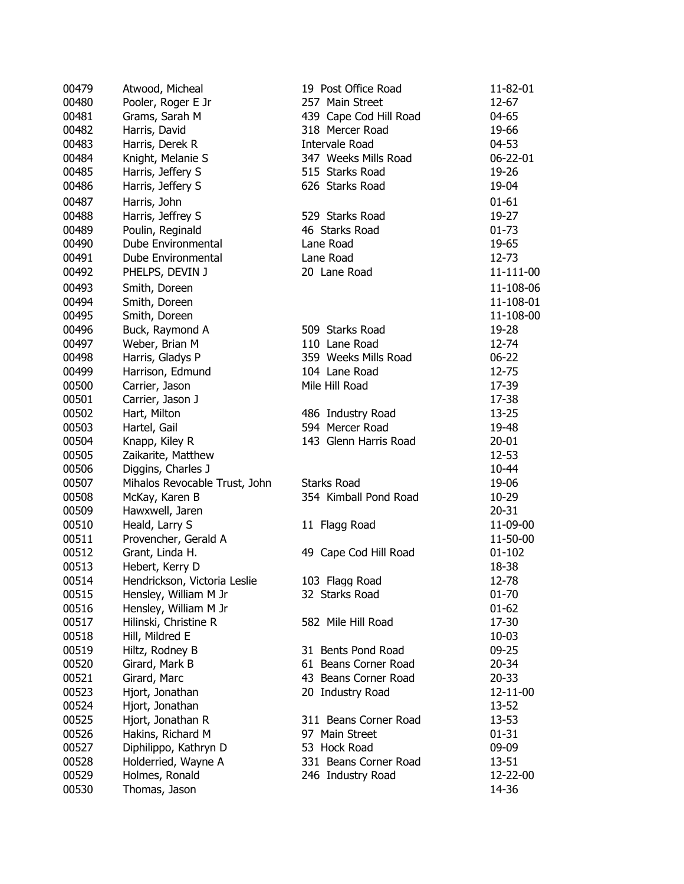| 00479 | Atwood, Micheal               | 19 Post Office Road    | 11-82-01   |
|-------|-------------------------------|------------------------|------------|
| 00480 | Pooler, Roger E Jr            | 257 Main Street        | 12-67      |
| 00481 | Grams, Sarah M                | 439 Cape Cod Hill Road | 04-65      |
| 00482 | Harris, David                 | 318 Mercer Road        | 19-66      |
| 00483 | Harris, Derek R               | Intervale Road         | 04-53      |
| 00484 | Knight, Melanie S             | 347 Weeks Mills Road   | 06-22-01   |
| 00485 | Harris, Jeffery S             | 515 Starks Road        | 19-26      |
| 00486 | Harris, Jeffery S             | 626 Starks Road        | 19-04      |
| 00487 | Harris, John                  |                        | $01 - 61$  |
| 00488 | Harris, Jeffrey S             | 529 Starks Road        | 19-27      |
| 00489 | Poulin, Reginald              | 46 Starks Road         | $01 - 73$  |
| 00490 | Dube Environmental            | Lane Road              | 19-65      |
| 00491 | Dube Environmental            | Lane Road              | 12-73      |
|       |                               |                        |            |
| 00492 | PHELPS, DEVIN J               | 20 Lane Road           | 11-111-00  |
| 00493 | Smith, Doreen                 |                        | 11-108-06  |
| 00494 | Smith, Doreen                 |                        | 11-108-01  |
| 00495 | Smith, Doreen                 |                        | 11-108-00  |
| 00496 | Buck, Raymond A               | 509 Starks Road        | 19-28      |
| 00497 | Weber, Brian M                | 110 Lane Road          | 12-74      |
| 00498 | Harris, Gladys P              | 359 Weeks Mills Road   | $06 - 22$  |
| 00499 | Harrison, Edmund              | 104 Lane Road          | 12-75      |
| 00500 | Carrier, Jason                | Mile Hill Road         | 17-39      |
| 00501 | Carrier, Jason J              |                        | 17-38      |
| 00502 | Hart, Milton                  | 486 Industry Road      | $13 - 25$  |
| 00503 | Hartel, Gail                  | 594 Mercer Road        | 19-48      |
| 00504 | Knapp, Kiley R                | 143 Glenn Harris Road  | $20 - 01$  |
| 00505 | Zaikarite, Matthew            |                        | $12 - 53$  |
| 00506 | Diggins, Charles J            |                        | 10-44      |
| 00507 | Mihalos Revocable Trust, John | <b>Starks Road</b>     | 19-06      |
| 00508 | McKay, Karen B                | 354 Kimball Pond Road  | 10-29      |
| 00509 | Hawxwell, Jaren               |                        | $20 - 31$  |
| 00510 | Heald, Larry S                | 11 Flagg Road          | 11-09-00   |
| 00511 | Provencher, Gerald A          |                        | 11-50-00   |
| 00512 | Grant, Linda H.               | 49 Cape Cod Hill Road  | $01 - 102$ |
| 00513 | Hebert, Kerry D               |                        | 18-38      |
| 00514 | Hendrickson, Victoria Leslie  | 103 Flagg Road         | 12-78      |
| 00515 | Hensley, William M Jr         | 32 Starks Road         | 01-70      |
| 00516 | Hensley, William M Jr         |                        | $01 - 62$  |
| 00517 | Hilinski, Christine R         | 582 Mile Hill Road     | 17-30      |
| 00518 | Hill, Mildred E               |                        | $10 - 03$  |
| 00519 | Hiltz, Rodney B               | 31 Bents Pond Road     | $09 - 25$  |
| 00520 | Girard, Mark B                | 61 Beans Corner Road   | $20 - 34$  |
| 00521 | Girard, Marc                  | 43 Beans Corner Road   | $20 - 33$  |
| 00523 | Hjort, Jonathan               | 20 Industry Road       | 12-11-00   |
| 00524 | Hjort, Jonathan               |                        | 13-52      |
| 00525 | Hjort, Jonathan R             | 311 Beans Corner Road  | 13-53      |
| 00526 | Hakins, Richard M             | 97 Main Street         | $01 - 31$  |
| 00527 | Diphilippo, Kathryn D         | 53 Hock Road           | 09-09      |
| 00528 | Holderried, Wayne A           | 331 Beans Corner Road  | 13-51      |
| 00529 | Holmes, Ronald                | 246 Industry Road      | 12-22-00   |
| 00530 | Thomas, Jason                 |                        | 14-36      |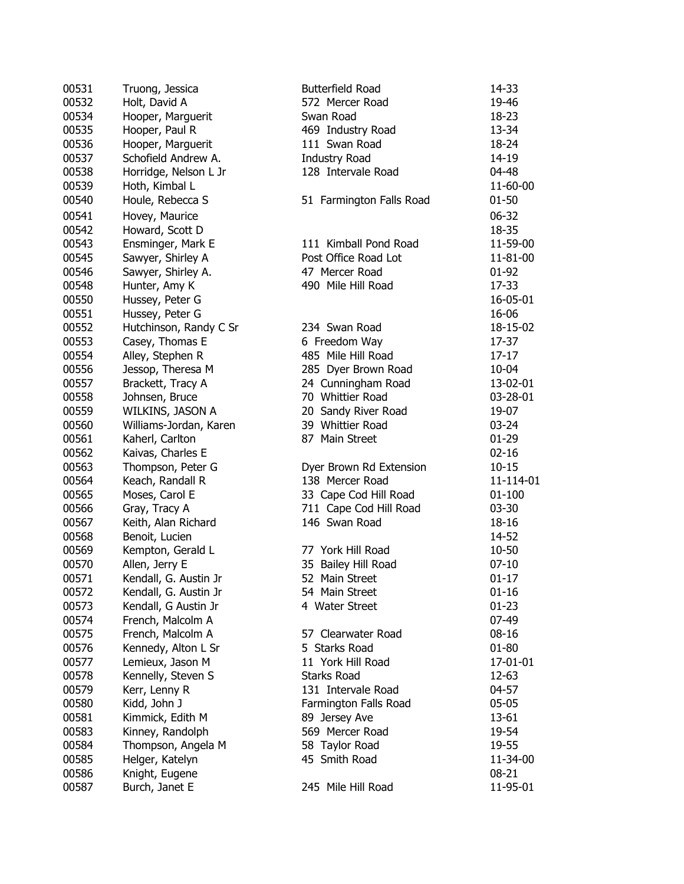| 00531          | Truong, Jessica        | <b>Butterfield Road</b>  | 14-33      |
|----------------|------------------------|--------------------------|------------|
| 00532          | Holt, David A          | 572 Mercer Road          | 19-46      |
| 00534          | Hooper, Marguerit      | Swan Road                | 18-23      |
| 00535          | Hooper, Paul R         | 469 Industry Road        | 13-34      |
| 00536          | Hooper, Marguerit      | 111 Swan Road            | 18-24      |
| 00537          | Schofield Andrew A.    | <b>Industry Road</b>     | 14-19      |
| 00538          | Horridge, Nelson L Jr  | 128 Intervale Road       | 04-48      |
| 00539          | Hoth, Kimbal L         |                          | 11-60-00   |
| 00540          | Houle, Rebecca S       | 51 Farmington Falls Road | $01 - 50$  |
|                |                        |                          |            |
| 00541          | Hovey, Maurice         |                          | 06-32      |
| 00542          | Howard, Scott D        |                          | 18-35      |
| 00543          | Ensminger, Mark E      | 111 Kimball Pond Road    | 11-59-00   |
| 00545          | Sawyer, Shirley A      | Post Office Road Lot     | 11-81-00   |
| 00546          | Sawyer, Shirley A.     | 47 Mercer Road           | 01-92      |
| 00548          | Hunter, Amy K          | 490 Mile Hill Road       | 17-33      |
| 00550          | Hussey, Peter G        |                          | 16-05-01   |
| 00551          | Hussey, Peter G        |                          | 16-06      |
| 00552          | Hutchinson, Randy C Sr | 234 Swan Road            | 18-15-02   |
| 00553          | Casey, Thomas E        | 6 Freedom Way            | 17-37      |
| 00554          | Alley, Stephen R       | 485 Mile Hill Road       | $17-17$    |
| 00556          | Jessop, Theresa M      | 285 Dyer Brown Road      | 10-04      |
| 00557          | Brackett, Tracy A      | 24 Cunningham Road       | 13-02-01   |
| 00558          | Johnsen, Bruce         | 70 Whittier Road         | 03-28-01   |
| 00559          | WILKINS, JASON A       | 20 Sandy River Road      | 19-07      |
| 00560          | Williams-Jordan, Karen | 39 Whittier Road         | $03 - 24$  |
| 00561          | Kaherl, Carlton        | 87 Main Street           | $01-29$    |
| 00562          | Kaivas, Charles E      |                          | $02 - 16$  |
| 00563          | Thompson, Peter G      | Dyer Brown Rd Extension  | $10 - 15$  |
| 00564          | Keach, Randall R       | 138 Mercer Road          | 11-114-01  |
| 00565          | Moses, Carol E         | 33 Cape Cod Hill Road    | $01 - 100$ |
| 00566          | Gray, Tracy A          | 711 Cape Cod Hill Road   | $03 - 30$  |
| 00567          | Keith, Alan Richard    | 146 Swan Road            | 18-16      |
| 00568          | Benoit, Lucien         |                          | 14-52      |
| 00569          | Kempton, Gerald L      | 77 York Hill Road        | 10-50      |
| 00570          | Allen, Jerry E         | 35 Bailey Hill Road      | $07 - 10$  |
| 00571          | Kendall, G. Austin Jr  | 52 Main Street           | $01 - 17$  |
| 00572          | Kendall, G. Austin Jr  | 54 Main Street           | $01 - 16$  |
| 00573          | Kendall, G Austin Jr   | 4 Water Street           | $01 - 23$  |
| 00574          | French, Malcolm A      |                          | 07-49      |
| 00575          | French, Malcolm A      | 57 Clearwater Road       | $08 - 16$  |
| 00576          | Kennedy, Alton L Sr    | 5 Starks Road            | $01 - 80$  |
| 00577          | Lemieux, Jason M       | 11 York Hill Road        | 17-01-01   |
| 00578          | Kennelly, Steven S     | <b>Starks Road</b>       | 12-63      |
| 00579          | Kerr, Lenny R          | 131 Intervale Road       | $04 - 57$  |
| 00580          | Kidd, John J           | Farmington Falls Road    | $05-05$    |
| 00581          | Kimmick, Edith M       | 89 Jersey Ave            | $13 - 61$  |
|                |                        | 569 Mercer Road          | 19-54      |
| 00583<br>00584 | Kinney, Randolph       | 58 Taylor Road           |            |
|                | Thompson, Angela M     | 45 Smith Road            | 19-55      |
| 00585          | Helger, Katelyn        |                          | 11-34-00   |
| 00586          | Knight, Eugene         | 245 Mile Hill Road       | 08-21      |
| 00587          | Burch, Janet E         |                          | 11-95-01   |
|                |                        |                          |            |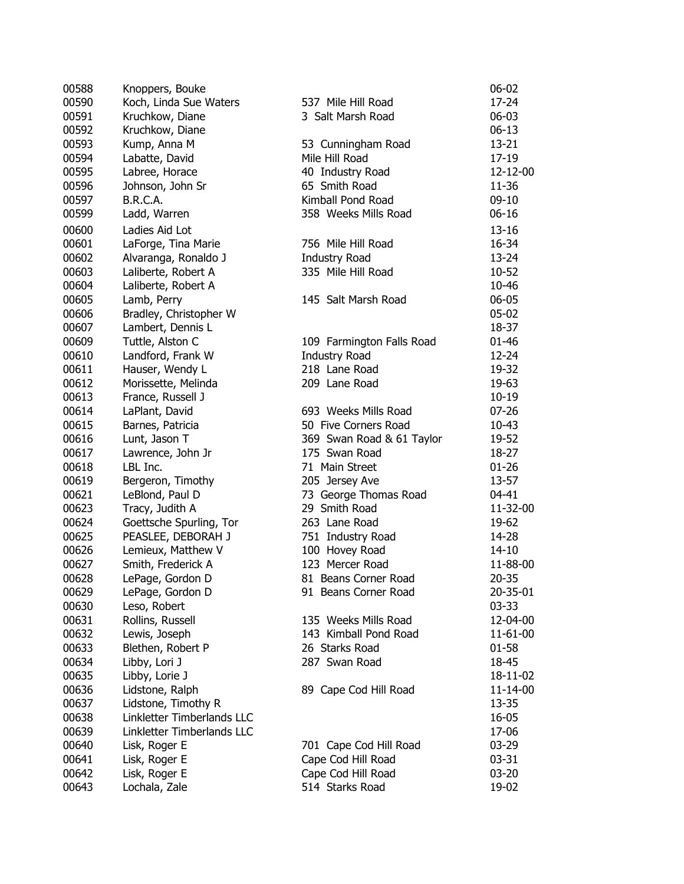| 00588 | Knoppers, Bouke            |                                        | $06 - 02$ |
|-------|----------------------------|----------------------------------------|-----------|
| 00590 | Koch, Linda Sue Waters     | 537 Mile Hill Road                     | 17-24     |
| 00591 | Kruchkow, Diane            | 3 Salt Marsh Road                      | $06 - 03$ |
| 00592 | Kruchkow, Diane            |                                        | $06-13$   |
| 00593 | Kump, Anna M               | 53 Cunningham Road                     | $13 - 21$ |
| 00594 | Labatte, David             | Mile Hill Road                         | 17-19     |
| 00595 | Labree, Horace             | 40 Industry Road                       | 12-12-00  |
| 00596 | Johnson, John Sr           | 65 Smith Road                          | 11-36     |
| 00597 | B.R.C.A.                   | Kimball Pond Road                      | $09-10$   |
| 00599 | Ladd, Warren               | 358 Weeks Mills Road                   | $06 - 16$ |
| 00600 | Ladies Aid Lot             |                                        | $13 - 16$ |
| 00601 | LaForge, Tina Marie        | 756 Mile Hill Road                     | 16-34     |
| 00602 | Alvaranga, Ronaldo J       | <b>Industry Road</b>                   | 13-24     |
| 00603 | Laliberte, Robert A        | 335 Mile Hill Road                     | 10-52     |
| 00604 | Laliberte, Robert A        |                                        | 10-46     |
| 00605 | Lamb, Perry                | 145 Salt Marsh Road                    | $06 - 05$ |
| 00606 | Bradley, Christopher W     |                                        | $05-02$   |
| 00607 | Lambert, Dennis L          |                                        | 18-37     |
| 00609 | Tuttle, Alston C           | 109 Farmington Falls Road              | $01 - 46$ |
| 00610 | Landford, Frank W          | <b>Industry Road</b>                   | 12-24     |
| 00611 | Hauser, Wendy L            | 218 Lane Road                          | 19-32     |
| 00612 | Morissette, Melinda        | 209 Lane Road                          | 19-63     |
| 00613 | France, Russell J          |                                        | $10 - 19$ |
| 00614 |                            | 693 Weeks Mills Road                   | $07 - 26$ |
| 00615 | LaPlant, David             | 50 Five Corners Road                   | $10 - 43$ |
| 00616 | Barnes, Patricia           |                                        |           |
| 00617 | Lunt, Jason T              | 369 Swan Road & 61 Taylor              | 19-52     |
|       | Lawrence, John Jr          | 175 Swan Road                          | 18-27     |
| 00618 | LBL Inc.                   | 71 Main Street                         | $01 - 26$ |
| 00619 | Bergeron, Timothy          | 205 Jersey Ave                         | 13-57     |
| 00621 | LeBlond, Paul D            | 73 George Thomas Road<br>29 Smith Road | 04-41     |
| 00623 | Tracy, Judith A            |                                        | 11-32-00  |
| 00624 | Goettsche Spurling, Tor    | 263 Lane Road                          | 19-62     |
| 00625 | PEASLEE, DEBORAH J         | 751 Industry Road                      | 14-28     |
| 00626 | Lemieux, Matthew V         | 100 Hovey Road                         | 14-10     |
| 00627 | Smith, Frederick A         | 123 Mercer Road                        | 11-88-00  |
| 00628 | LePage, Gordon D           | 81 Beans Corner Road                   | $20 - 35$ |
| 00629 | LePage, Gordon D           | 91 Beans Corner Road                   | 20-35-01  |
| 00630 | Leso, Robert               |                                        | $03 - 33$ |
| 00631 | Rollins, Russell           | 135 Weeks Mills Road                   | 12-04-00  |
| 00632 | Lewis, Joseph              | 143 Kimball Pond Road                  | 11-61-00  |
| 00633 | Blethen, Robert P          | 26 Starks Road                         | $01 - 58$ |
| 00634 | Libby, Lori J              | 287 Swan Road                          | 18-45     |
| 00635 | Libby, Lorie J             |                                        | 18-11-02  |
| 00636 | Lidstone, Ralph            | 89 Cape Cod Hill Road                  | 11-14-00  |
| 00637 | Lidstone, Timothy R        |                                        | 13-35     |
| 00638 | Linkletter Timberlands LLC |                                        | 16-05     |
| 00639 | Linkletter Timberlands LLC |                                        | 17-06     |
| 00640 | Lisk, Roger E              | 701 Cape Cod Hill Road                 | 03-29     |
| 00641 | Lisk, Roger E              | Cape Cod Hill Road                     | $03 - 31$ |
| 00642 | Lisk, Roger E              | Cape Cod Hill Road                     | $03 - 20$ |
| 00643 | Lochala, Zale              | 514 Starks Road                        | 19-02     |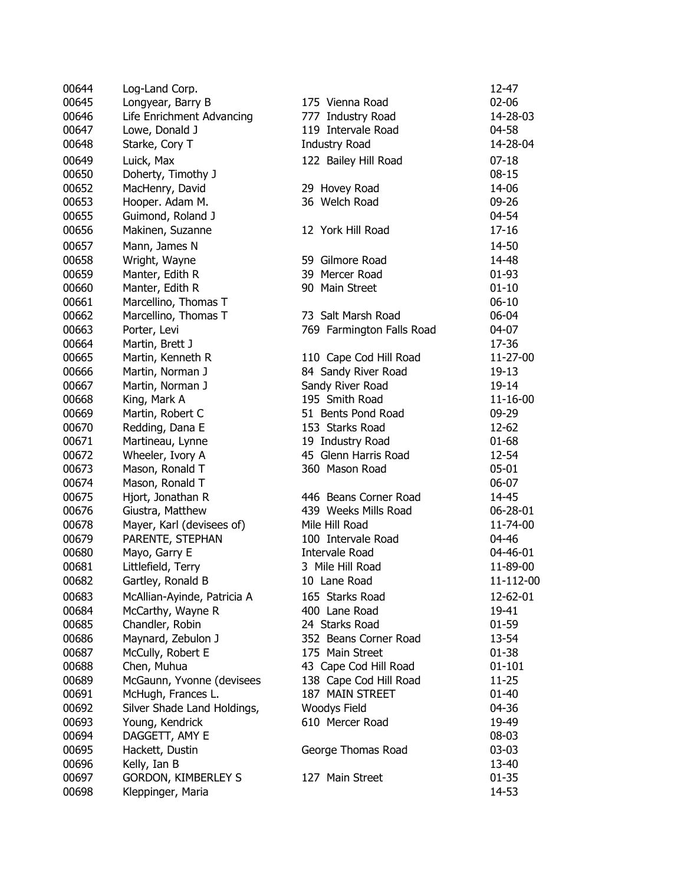| 00644 | Log-Land Corp.              |                           | 12-47      |
|-------|-----------------------------|---------------------------|------------|
| 00645 | Longyear, Barry B           | 175 Vienna Road           | 02-06      |
| 00646 | Life Enrichment Advancing   | 777 Industry Road         | 14-28-03   |
| 00647 | Lowe, Donald J              | 119 Intervale Road        | 04-58      |
| 00648 | Starke, Cory T              | <b>Industry Road</b>      | 14-28-04   |
| 00649 | Luick, Max                  | 122 Bailey Hill Road      | $07-18$    |
| 00650 | Doherty, Timothy J          |                           | $08 - 15$  |
| 00652 | MacHenry, David             | 29 Hovey Road             | 14-06      |
| 00653 | Hooper. Adam M.             | 36 Welch Road             | 09-26      |
| 00655 | Guimond, Roland J           |                           | 04-54      |
| 00656 | Makinen, Suzanne            | 12 York Hill Road         | $17 - 16$  |
|       |                             |                           |            |
| 00657 | Mann, James N               |                           | 14-50      |
| 00658 | Wright, Wayne               | 59 Gilmore Road           | 14-48      |
| 00659 | Manter, Edith R             | 39 Mercer Road            | $01 - 93$  |
| 00660 | Manter, Edith R             | 90 Main Street            | $01 - 10$  |
| 00661 | Marcellino, Thomas T        |                           | $06 - 10$  |
| 00662 | Marcellino, Thomas T        | 73 Salt Marsh Road        | 06-04      |
| 00663 | Porter, Levi                | 769 Farmington Falls Road | 04-07      |
| 00664 | Martin, Brett J             |                           | 17-36      |
| 00665 | Martin, Kenneth R           | 110 Cape Cod Hill Road    | 11-27-00   |
| 00666 | Martin, Norman J            | 84 Sandy River Road       | 19-13      |
| 00667 | Martin, Norman J            | Sandy River Road          | 19-14      |
| 00668 | King, Mark A                | 195 Smith Road            | 11-16-00   |
| 00669 | Martin, Robert C            | 51 Bents Pond Road        | 09-29      |
| 00670 | Redding, Dana E             | 153 Starks Road           | 12-62      |
| 00671 | Martineau, Lynne            | 19 Industry Road          | $01 - 68$  |
| 00672 | Wheeler, Ivory A            | 45 Glenn Harris Road      | 12-54      |
| 00673 | Mason, Ronald T             | 360 Mason Road            | $05 - 01$  |
| 00674 | Mason, Ronald T             |                           | 06-07      |
| 00675 | Hjort, Jonathan R           | 446 Beans Corner Road     | 14-45      |
| 00676 | Giustra, Matthew            | 439 Weeks Mills Road      | 06-28-01   |
| 00678 | Mayer, Karl (devisees of)   | Mile Hill Road            | 11-74-00   |
| 00679 | PARENTE, STEPHAN            | 100 Intervale Road        | 04-46      |
| 00680 | Mayo, Garry E               | <b>Intervale Road</b>     | 04-46-01   |
| 00681 | Littlefield, Terry          | 3 Mile Hill Road          | 11-89-00   |
| 00682 | Gartley, Ronald B           | 10 Lane Road              | 11-112-00  |
| 00683 | McAllian-Ayinde, Patricia A | 165 Starks Road           | 12-62-01   |
| 00684 | McCarthy, Wayne R           | 400 Lane Road             | 19-41      |
| 00685 | Chandler, Robin             | 24 Starks Road            | $01 - 59$  |
| 00686 | Maynard, Zebulon J          | 352 Beans Corner Road     | 13-54      |
| 00687 | McCully, Robert E           | 175 Main Street           | $01 - 38$  |
| 00688 | Chen, Muhua                 | 43 Cape Cod Hill Road     | $01 - 101$ |
| 00689 | McGaunn, Yvonne (devisees   | 138 Cape Cod Hill Road    | $11 - 25$  |
| 00691 | McHugh, Frances L.          | 187 MAIN STREET           | $01 - 40$  |
| 00692 | Silver Shade Land Holdings, | Woodys Field              | 04-36      |
| 00693 | Young, Kendrick             | 610 Mercer Road           | 19-49      |
| 00694 | DAGGETT, AMY E              |                           | 08-03      |
| 00695 | Hackett, Dustin             | George Thomas Road        | $03 - 03$  |
| 00696 | Kelly, Ian B                |                           | 13-40      |
| 00697 | <b>GORDON, KIMBERLEY S</b>  | 127 Main Street           | $01 - 35$  |
| 00698 |                             |                           | 14-53      |
|       | Kleppinger, Maria           |                           |            |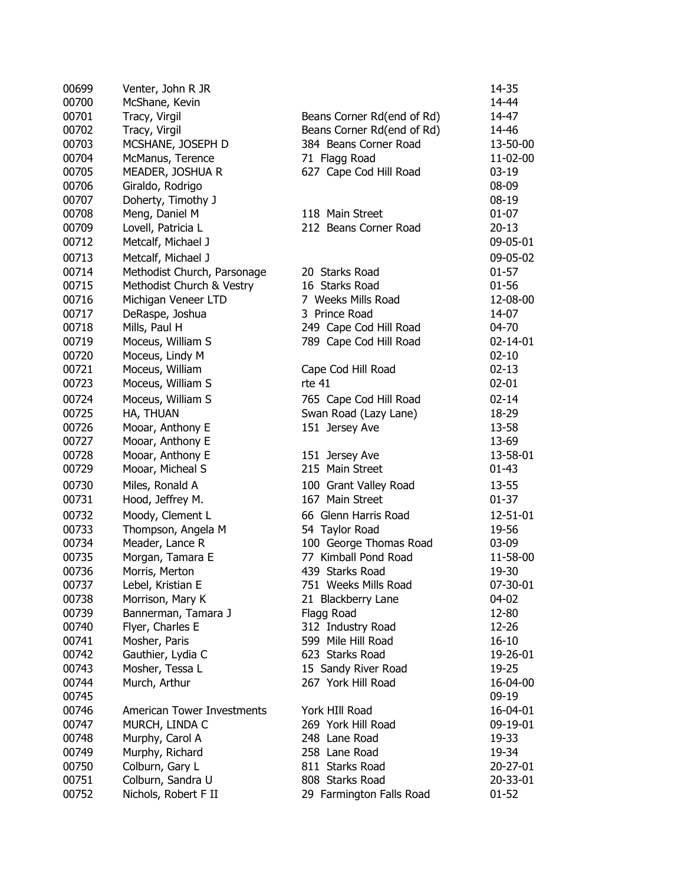| 00699 | Venter, John R JR                 |                            | 14-35     |
|-------|-----------------------------------|----------------------------|-----------|
| 00700 | McShane, Kevin                    |                            | 14-44     |
| 00701 | Tracy, Virgil                     | Beans Corner Rd(end of Rd) | 14-47     |
| 00702 | Tracy, Virgil                     | Beans Corner Rd(end of Rd) | 14-46     |
| 00703 | MCSHANE, JOSEPH D                 | 384 Beans Corner Road      | 13-50-00  |
| 00704 | McManus, Terence                  | 71 Flagg Road              | 11-02-00  |
| 00705 | MEADER, JOSHUA R                  | 627 Cape Cod Hill Road     | $03-19$   |
| 00706 | Giraldo, Rodrigo                  |                            | 08-09     |
| 00707 | Doherty, Timothy J                |                            | $08-19$   |
| 00708 | Meng, Daniel M                    | 118 Main Street            | $01 - 07$ |
| 00709 | Lovell, Patricia L                | 212 Beans Corner Road      | $20 - 13$ |
| 00712 | Metcalf, Michael J                |                            | 09-05-01  |
|       |                                   |                            |           |
| 00713 | Metcalf, Michael J                |                            | 09-05-02  |
| 00714 | Methodist Church, Parsonage       | 20 Starks Road             | $01 - 57$ |
| 00715 | Methodist Church & Vestry         | 16 Starks Road             | $01 - 56$ |
| 00716 | Michigan Veneer LTD               | 7 Weeks Mills Road         | 12-08-00  |
| 00717 | DeRaspe, Joshua                   | 3 Prince Road              | 14-07     |
| 00718 | Mills, Paul H                     | 249 Cape Cod Hill Road     | 04-70     |
| 00719 | Moceus, William S                 | 789 Cape Cod Hill Road     | 02-14-01  |
| 00720 | Moceus, Lindy M                   |                            | $02 - 10$ |
| 00721 | Moceus, William                   | Cape Cod Hill Road         | $02 - 13$ |
| 00723 | Moceus, William S                 | rte 41                     | $02 - 01$ |
| 00724 | Moceus, William S                 | 765 Cape Cod Hill Road     | $02 - 14$ |
| 00725 | HA, THUAN                         | Swan Road (Lazy Lane)      | 18-29     |
| 00726 | Mooar, Anthony E                  | 151 Jersey Ave             | 13-58     |
| 00727 | Mooar, Anthony E                  |                            | 13-69     |
| 00728 | Mooar, Anthony E                  | 151 Jersey Ave             | 13-58-01  |
| 00729 | Mooar, Micheal S                  | 215 Main Street            | $01 - 43$ |
| 00730 | Miles, Ronald A                   | 100 Grant Valley Road      | 13-55     |
| 00731 | Hood, Jeffrey M.                  | 167 Main Street            | $01 - 37$ |
| 00732 | Moody, Clement L                  | 66 Glenn Harris Road       | 12-51-01  |
| 00733 | Thompson, Angela M                | 54 Taylor Road             | 19-56     |
| 00734 | Meader, Lance R                   | 100 George Thomas Road     | 03-09     |
| 00735 | Morgan, Tamara E                  | 77 Kimball Pond Road       | 11-58-00  |
| 00736 | Morris, Merton                    | 439 Starks Road            | 19-30     |
| 00737 | Lebel, Kristian E                 | 751 Weeks Mills Road       | 07-30-01  |
| 00738 | Morrison, Mary K                  | 21 Blackberry Lane         | 04-02     |
| 00739 | Bannerman, Tamara J               | Flagg Road                 | 12-80     |
| 00740 | Flyer, Charles E                  | 312 Industry Road          | 12-26     |
| 00741 | Mosher, Paris                     | 599 Mile Hill Road         | $16 - 10$ |
| 00742 | Gauthier, Lydia C                 | 623 Starks Road            | 19-26-01  |
| 00743 |                                   | 15 Sandy River Road        | 19-25     |
| 00744 | Mosher, Tessa L<br>Murch, Arthur  | 267 York Hill Road         | 16-04-00  |
|       |                                   |                            |           |
| 00745 | <b>American Tower Investments</b> |                            | 09-19     |
| 00746 |                                   | York HIII Road             | 16-04-01  |
| 00747 | MURCH, LINDA C                    | 269 York Hill Road         | 09-19-01  |
| 00748 | Murphy, Carol A                   | 248 Lane Road              | 19-33     |
| 00749 | Murphy, Richard                   | 258 Lane Road              | 19-34     |
| 00750 | Colburn, Gary L                   | 811 Starks Road            | 20-27-01  |
| 00751 | Colburn, Sandra U                 | 808 Starks Road            | 20-33-01  |
| 00752 | Nichols, Robert F II              | 29 Farmington Falls Road   | $01 - 52$ |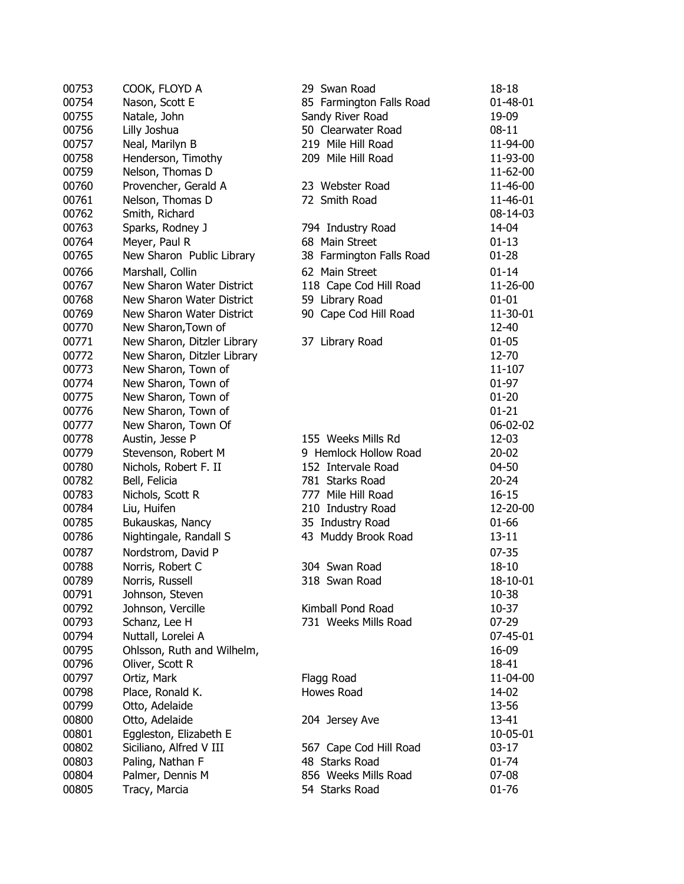| 00753 | COOK, FLOYD A               | 29 Swan Road             | 18-18     |
|-------|-----------------------------|--------------------------|-----------|
| 00754 | Nason, Scott E              | 85 Farmington Falls Road | 01-48-01  |
| 00755 | Natale, John                | Sandy River Road         | 19-09     |
| 00756 | Lilly Joshua                | 50 Clearwater Road       | $08 - 11$ |
| 00757 | Neal, Marilyn B             | 219 Mile Hill Road       | 11-94-00  |
| 00758 | Henderson, Timothy          | 209 Mile Hill Road       | 11-93-00  |
| 00759 | Nelson, Thomas D            |                          | 11-62-00  |
| 00760 | Provencher, Gerald A        | 23 Webster Road          | 11-46-00  |
| 00761 | Nelson, Thomas D            | 72 Smith Road            | 11-46-01  |
| 00762 | Smith, Richard              |                          | 08-14-03  |
| 00763 | Sparks, Rodney J            | 794 Industry Road        | 14-04     |
| 00764 | Meyer, Paul R               | 68 Main Street           | $01-13$   |
| 00765 | New Sharon Public Library   | 38 Farmington Falls Road | $01 - 28$ |
|       |                             | 62 Main Street           |           |
| 00766 | Marshall, Collin            |                          | $01 - 14$ |
| 00767 | New Sharon Water District   | 118 Cape Cod Hill Road   | 11-26-00  |
| 00768 | New Sharon Water District   | 59 Library Road          | $01 - 01$ |
| 00769 | New Sharon Water District   | 90 Cape Cod Hill Road    | 11-30-01  |
| 00770 | New Sharon, Town of         |                          | 12-40     |
| 00771 | New Sharon, Ditzler Library | 37 Library Road          | $01 - 05$ |
| 00772 | New Sharon, Ditzler Library |                          | 12-70     |
| 00773 | New Sharon, Town of         |                          | 11-107    |
| 00774 | New Sharon, Town of         |                          | 01-97     |
| 00775 | New Sharon, Town of         |                          | $01 - 20$ |
| 00776 | New Sharon, Town of         |                          | $01 - 21$ |
| 00777 | New Sharon, Town Of         |                          | 06-02-02  |
| 00778 | Austin, Jesse P             | 155 Weeks Mills Rd       | 12-03     |
| 00779 | Stevenson, Robert M         | 9 Hemlock Hollow Road    | $20 - 02$ |
| 00780 | Nichols, Robert F. II       | 152 Intervale Road       | 04-50     |
| 00782 | Bell, Felicia               | 781 Starks Road          | $20 - 24$ |
| 00783 | Nichols, Scott R            | 777 Mile Hill Road       | $16 - 15$ |
| 00784 | Liu, Huifen                 | 210 Industry Road        | 12-20-00  |
| 00785 | Bukauskas, Nancy            | 35 Industry Road         | 01-66     |
| 00786 | Nightingale, Randall S      | 43 Muddy Brook Road      | $13 - 11$ |
| 00787 | Nordstrom, David P          |                          | $07 - 35$ |
| 00788 | Norris, Robert C            | 304 Swan Road            | 18-10     |
| 00789 | Norris, Russell             | 318 Swan Road            | 18-10-01  |
| 00791 | Johnson, Steven             |                          | 10-38     |
| 00792 | Johnson, Vercille           | Kimball Pond Road        | $10-37$   |
| 00793 | Schanz, Lee H               | 731 Weeks Mills Road     | 07-29     |
| 00794 | Nuttall, Lorelei A          |                          | 07-45-01  |
| 00795 | Ohlsson, Ruth and Wilhelm,  |                          | 16-09     |
| 00796 | Oliver, Scott R             |                          | 18-41     |
| 00797 | Ortiz, Mark                 | Flagg Road               | 11-04-00  |
| 00798 | Place, Ronald K.            | Howes Road               | 14-02     |
| 00799 | Otto, Adelaide              |                          | 13-56     |
| 00800 | Otto, Adelaide              | 204 Jersey Ave           | 13-41     |
| 00801 | Eggleston, Elizabeth E      |                          | 10-05-01  |
| 00802 | Siciliano, Alfred V III     | 567 Cape Cod Hill Road   | $03-17$   |
| 00803 | Paling, Nathan F            | 48 Starks Road           | 01-74     |
|       |                             |                          |           |
| 00804 | Palmer, Dennis M            | 856 Weeks Mills Road     | $07-08$   |
| 00805 | Tracy, Marcia               | 54 Starks Road           | 01-76     |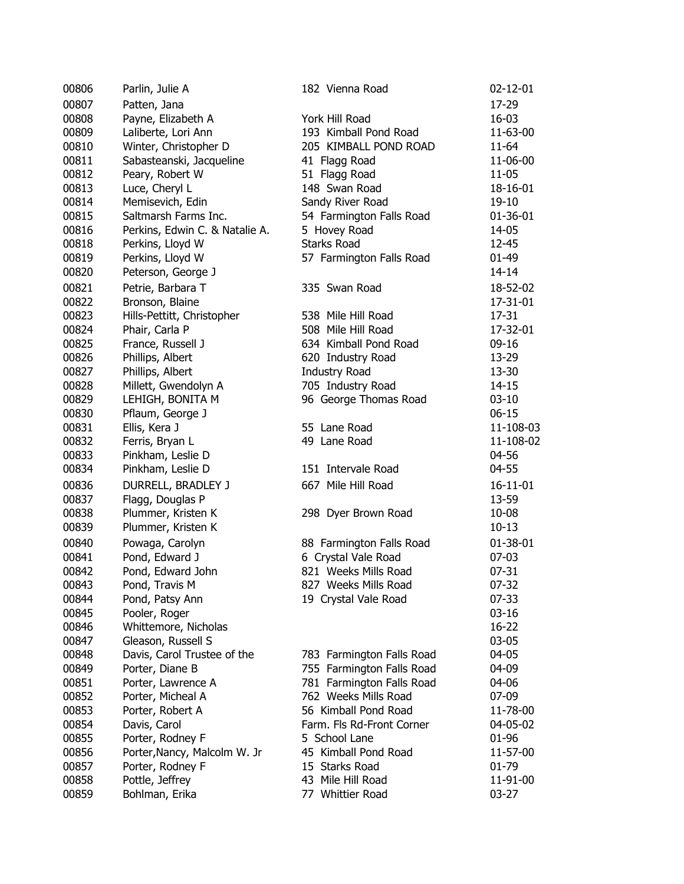| 00806 | Parlin, Julie A                   | 182 Vienna Road           | $02 - 12 - 01$ |
|-------|-----------------------------------|---------------------------|----------------|
| 00807 | Patten, Jana                      |                           | 17-29          |
| 00808 | Payne, Elizabeth A                | York Hill Road            | 16-03          |
| 00809 | Laliberte, Lori Ann               | 193 Kimball Pond Road     | 11-63-00       |
| 00810 | Winter, Christopher D             | 205 KIMBALL POND ROAD     | 11-64          |
| 00811 | Sabasteanski, Jacqueline          | 41 Flagg Road             | 11-06-00       |
| 00812 | Peary, Robert W                   | 51 Flagg Road             | 11-05          |
| 00813 | Luce, Cheryl L                    | 148 Swan Road             | 18-16-01       |
| 00814 | Memisevich, Edin                  | Sandy River Road          | 19-10          |
| 00815 | Saltmarsh Farms Inc.              | 54 Farmington Falls Road  | 01-36-01       |
| 00816 | Perkins, Edwin C. & Natalie A.    | 5 Hovey Road              | 14-05          |
| 00818 | Perkins, Lloyd W                  | <b>Starks Road</b>        | 12-45          |
| 00819 | Perkins, Lloyd W                  | 57 Farmington Falls Road  | 01-49          |
| 00820 |                                   |                           | $14 - 14$      |
|       | Peterson, George J                |                           |                |
| 00821 | Petrie, Barbara T                 | 335 Swan Road             | 18-52-02       |
| 00822 | Bronson, Blaine                   |                           | 17-31-01       |
| 00823 | Hills-Pettitt, Christopher        | 538 Mile Hill Road        | 17-31          |
| 00824 | Phair, Carla P                    | 508 Mile Hill Road        | 17-32-01       |
| 00825 | France, Russell J                 | 634 Kimball Pond Road     | $09-16$        |
| 00826 | Phillips, Albert                  | 620 Industry Road         | 13-29          |
| 00827 | Phillips, Albert                  | <b>Industry Road</b>      | 13-30          |
| 00828 | Millett, Gwendolyn A              | 705 Industry Road         | $14 - 15$      |
| 00829 | LEHIGH, BONITA M                  | 96 George Thomas Road     | $03-10$        |
| 00830 | Pflaum, George J                  |                           | $06 - 15$      |
| 00831 | Ellis, Kera J                     | 55 Lane Road              | 11-108-03      |
| 00832 | Ferris, Bryan L                   | 49 Lane Road              | 11-108-02      |
| 00833 | Pinkham, Leslie D                 |                           | 04-56          |
| 00834 | Pinkham, Leslie D                 | 151 Intervale Road        | 04-55          |
| 00836 | DURRELL, BRADLEY J                | 667 Mile Hill Road        | $16 - 11 - 01$ |
| 00837 | Flagg, Douglas P                  |                           | 13-59          |
| 00838 | Plummer, Kristen K                | 298 Dyer Brown Road       | 10-08          |
| 00839 | Plummer, Kristen K                |                           | $10 - 13$      |
| 00840 | Powaga, Carolyn                   | 88 Farmington Falls Road  | 01-38-01       |
| 00841 | Pond, Edward J                    | 6 Crystal Vale Road       | $07-03$        |
| 00842 | Pond, Edward John                 | 821 Weeks Mills Road      | $07 - 31$      |
|       |                                   | 827 Weeks Mills Road      |                |
| 00843 | Pond, Travis M<br>Pond, Patsy Ann |                           | 07-32<br>07-33 |
| 00844 |                                   | 19 Crystal Vale Road      |                |
| 00845 | Pooler, Roger                     |                           | $03 - 16$      |
| 00846 | Whittemore, Nicholas              |                           | 16-22          |
| 00847 | Gleason, Russell S                |                           | 03-05          |
| 00848 | Davis, Carol Trustee of the       | 783 Farmington Falls Road | 04-05          |
| 00849 | Porter, Diane B                   | 755 Farmington Falls Road | 04-09          |
| 00851 | Porter, Lawrence A                | 781 Farmington Falls Road | 04-06          |
| 00852 | Porter, Micheal A                 | 762 Weeks Mills Road      | 07-09          |
| 00853 | Porter, Robert A                  | 56 Kimball Pond Road      | 11-78-00       |
| 00854 | Davis, Carol                      | Farm. Fls Rd-Front Corner | 04-05-02       |
| 00855 | Porter, Rodney F                  | 5 School Lane             | 01-96          |
| 00856 | Porter, Nancy, Malcolm W. Jr      | 45 Kimball Pond Road      | 11-57-00       |
| 00857 | Porter, Rodney F                  | 15 Starks Road            | 01-79          |
| 00858 | Pottle, Jeffrey                   | 43 Mile Hill Road         | 11-91-00       |
| 00859 | Bohlman, Erika                    | 77 Whittier Road          | 03-27          |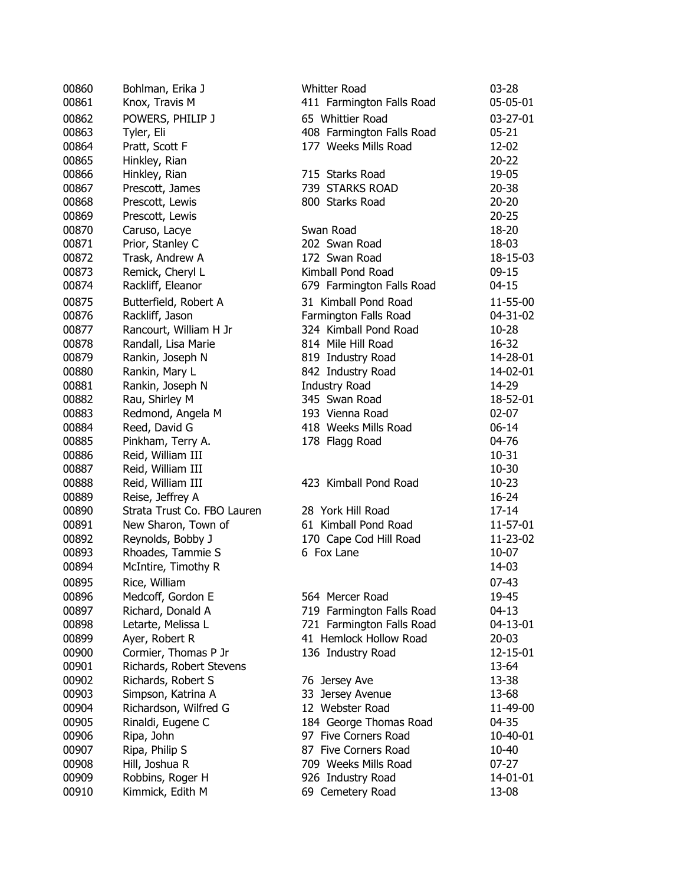| 00860 | Bohlman, Erika J                       | <b>Whitter Road</b>       | 03-28     |
|-------|----------------------------------------|---------------------------|-----------|
| 00861 | Knox, Travis M                         | 411 Farmington Falls Road | 05-05-01  |
| 00862 | POWERS, PHILIP J                       | 65 Whittier Road          | 03-27-01  |
| 00863 | Tyler, Eli                             | 408 Farmington Falls Road | $05 - 21$ |
| 00864 | Pratt, Scott F                         | 177 Weeks Mills Road      | 12-02     |
| 00865 | Hinkley, Rian                          |                           | $20 - 22$ |
| 00866 | Hinkley, Rian                          | 715 Starks Road           | 19-05     |
| 00867 | Prescott, James                        | 739 STARKS ROAD           | $20 - 38$ |
| 00868 | Prescott, Lewis                        | 800 Starks Road           | $20 - 20$ |
| 00869 | Prescott, Lewis                        |                           | $20 - 25$ |
| 00870 | Caruso, Lacye                          | Swan Road                 | 18-20     |
| 00871 | Prior, Stanley C                       | 202 Swan Road             | 18-03     |
| 00872 | Trask, Andrew A                        | 172 Swan Road             | 18-15-03  |
| 00873 | Remick, Cheryl L                       | Kimball Pond Road         | $09-15$   |
| 00874 | Rackliff, Eleanor                      | 679 Farmington Falls Road | $04 - 15$ |
| 00875 | Butterfield, Robert A                  | 31 Kimball Pond Road      | 11-55-00  |
| 00876 | Rackliff, Jason                        | Farmington Falls Road     | 04-31-02  |
| 00877 | Rancourt, William H Jr                 | 324 Kimball Pond Road     | $10 - 28$ |
| 00878 | Randall, Lisa Marie                    | 814 Mile Hill Road        | 16-32     |
| 00879 | Rankin, Joseph N                       | 819 Industry Road         | 14-28-01  |
| 00880 | Rankin, Mary L                         | 842 Industry Road         | 14-02-01  |
| 00881 | Rankin, Joseph N                       | <b>Industry Road</b>      | 14-29     |
| 00882 | Rau, Shirley M                         | 345 Swan Road             | 18-52-01  |
| 00883 | Redmond, Angela M                      | 193 Vienna Road           | $02 - 07$ |
| 00884 | Reed, David G                          | 418 Weeks Mills Road      | $06 - 14$ |
| 00885 |                                        |                           | 04-76     |
| 00886 | Pinkham, Terry A.<br>Reid, William III | 178 Flagg Road            | $10 - 31$ |
| 00887 |                                        |                           | $10 - 30$ |
| 00888 | Reid, William III<br>Reid, William III | 423 Kimball Pond Road     | $10 - 23$ |
| 00889 | Reise, Jeffrey A                       |                           | $16 - 24$ |
| 00890 | Strata Trust Co. FBO Lauren            | 28 York Hill Road         | $17 - 14$ |
| 00891 | New Sharon, Town of                    | 61 Kimball Pond Road      | 11-57-01  |
| 00892 | Reynolds, Bobby J                      | 170 Cape Cod Hill Road    | 11-23-02  |
| 00893 | Rhoades, Tammie S                      | 6 Fox Lane                | 10-07     |
| 00894 | McIntire, Timothy R                    |                           | 14-03     |
|       |                                        |                           |           |
| 00895 | Rice, William                          |                           | $07 - 43$ |
| 00896 | Medcoff, Gordon E                      | 564 Mercer Road           | 19-45     |
| 00897 | Richard, Donald A                      | 719 Farmington Falls Road | $04-13$   |
| 00898 | Letarte, Melissa L                     | 721 Farmington Falls Road | 04-13-01  |
| 00899 | Ayer, Robert R                         | 41 Hemlock Hollow Road    | $20 - 03$ |
| 00900 | Cormier, Thomas P Jr                   | 136 Industry Road         | 12-15-01  |
| 00901 | Richards, Robert Stevens               |                           | 13-64     |
| 00902 | Richards, Robert S                     | 76 Jersey Ave             | 13-38     |
| 00903 | Simpson, Katrina A                     | 33 Jersey Avenue          | 13-68     |
| 00904 | Richardson, Wilfred G                  | 12 Webster Road           | 11-49-00  |
| 00905 | Rinaldi, Eugene C                      | 184 George Thomas Road    | 04-35     |
| 00906 | Ripa, John                             | 97 Five Corners Road      | 10-40-01  |
| 00907 | Ripa, Philip S                         | 87 Five Corners Road      | 10-40     |
| 00908 | Hill, Joshua R                         | 709 Weeks Mills Road      | $07-27$   |
| 00909 | Robbins, Roger H                       | 926 Industry Road         | 14-01-01  |
| 00910 | Kimmick, Edith M                       | 69 Cemetery Road          | 13-08     |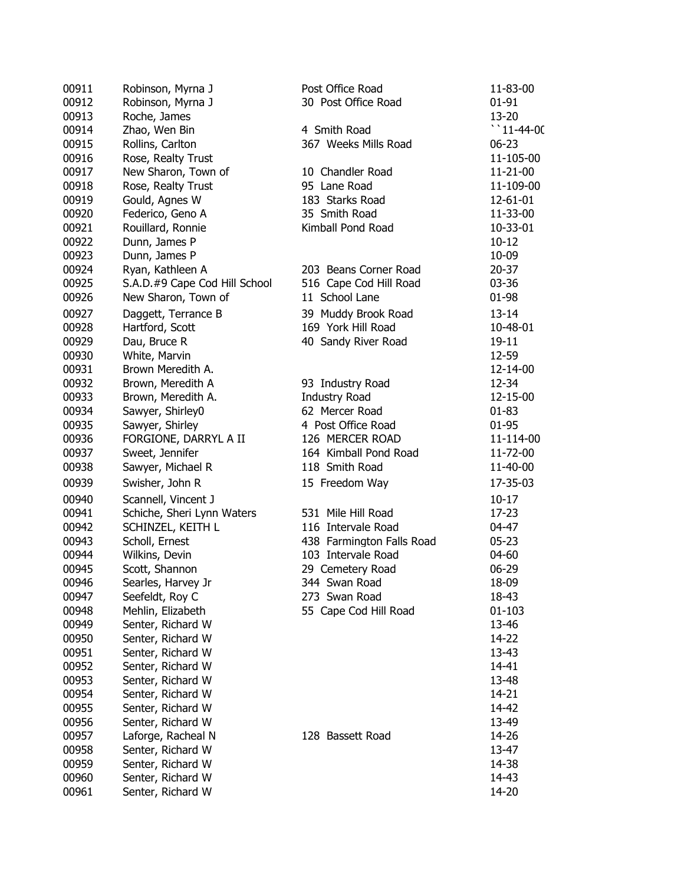| 00911 | Robinson, Myrna J             | Post Office Road          | 11-83-00           |
|-------|-------------------------------|---------------------------|--------------------|
| 00912 | Robinson, Myrna J             | 30 Post Office Road       | $01 - 91$          |
| 00913 | Roche, James                  |                           | 13-20              |
| 00914 | Zhao, Wen Bin                 | 4 Smith Road              | $\degree$ 11-44-00 |
| 00915 | Rollins, Carlton              | 367 Weeks Mills Road      | $06 - 23$          |
| 00916 | Rose, Realty Trust            |                           | 11-105-00          |
| 00917 | New Sharon, Town of           | 10 Chandler Road          | 11-21-00           |
| 00918 | Rose, Realty Trust            | 95 Lane Road              | 11-109-00          |
| 00919 | Gould, Agnes W                | 183 Starks Road           | 12-61-01           |
| 00920 | Federico, Geno A              | 35 Smith Road             | 11-33-00           |
| 00921 | Rouillard, Ronnie             | Kimball Pond Road         | 10-33-01           |
| 00922 | Dunn, James P                 |                           | $10 - 12$          |
| 00923 | Dunn, James P                 |                           | 10-09              |
| 00924 | Ryan, Kathleen A              | 203 Beans Corner Road     | $20 - 37$          |
| 00925 | S.A.D.#9 Cape Cod Hill School | 516 Cape Cod Hill Road    | 03-36              |
| 00926 | New Sharon, Town of           | 11 School Lane            | 01-98              |
|       |                               |                           |                    |
| 00927 | Daggett, Terrance B           | 39 Muddy Brook Road       | $13 - 14$          |
| 00928 | Hartford, Scott               | 169 York Hill Road        | 10-48-01           |
| 00929 | Dau, Bruce R                  | 40 Sandy River Road       | $19 - 11$          |
| 00930 | White, Marvin                 |                           | 12-59              |
| 00931 | Brown Meredith A.             |                           | 12-14-00           |
| 00932 | Brown, Meredith A             | 93 Industry Road          | 12-34              |
| 00933 | Brown, Meredith A.            | <b>Industry Road</b>      | 12-15-00           |
| 00934 | Sawyer, Shirley0              | 62 Mercer Road            | $01 - 83$          |
| 00935 | Sawyer, Shirley               | 4 Post Office Road        | 01-95              |
| 00936 | FORGIONE, DARRYL A II         | 126 MERCER ROAD           | 11-114-00          |
| 00937 | Sweet, Jennifer               | 164 Kimball Pond Road     | 11-72-00           |
| 00938 | Sawyer, Michael R             | 118 Smith Road            | 11-40-00           |
| 00939 | Swisher, John R               | 15 Freedom Way            | 17-35-03           |
| 00940 | Scannell, Vincent J           |                           | $10-17$            |
| 00941 | Schiche, Sheri Lynn Waters    | 531 Mile Hill Road        | $17 - 23$          |
| 00942 | SCHINZEL, KEITH L             | 116 Intervale Road        | 04-47              |
| 00943 | Scholl, Ernest                | 438 Farmington Falls Road | $05 - 23$          |
| 00944 | Wilkins, Devin                | 103 Intervale Road        | 04-60              |
| 00945 | Scott, Shannon                | 29 Cemetery Road          | 06-29              |
| 00946 | Searles, Harvey Jr            | 344 Swan Road             | 18-09              |
| 00947 | Seefeldt, Roy C               | 273 Swan Road             | 18-43              |
| 00948 | Mehlin, Elizabeth             | 55 Cape Cod Hill Road     | $01 - 103$         |
| 00949 | Senter, Richard W             |                           | 13-46              |
| 00950 | Senter, Richard W             |                           | 14-22              |
| 00951 | Senter, Richard W             |                           | 13-43              |
| 00952 | Senter, Richard W             |                           | 14-41              |
| 00953 | Senter, Richard W             |                           | 13-48              |
| 00954 | Senter, Richard W             |                           | 14-21              |
| 00955 | Senter, Richard W             |                           | 14-42              |
| 00956 | Senter, Richard W             |                           | 13-49              |
| 00957 | Laforge, Racheal N            | 128 Bassett Road          | 14-26              |
| 00958 | Senter, Richard W             |                           | 13-47              |
| 00959 | Senter, Richard W             |                           | 14-38              |
| 00960 | Senter, Richard W             |                           | 14-43              |
| 00961 | Senter, Richard W             |                           | 14-20              |
|       |                               |                           |                    |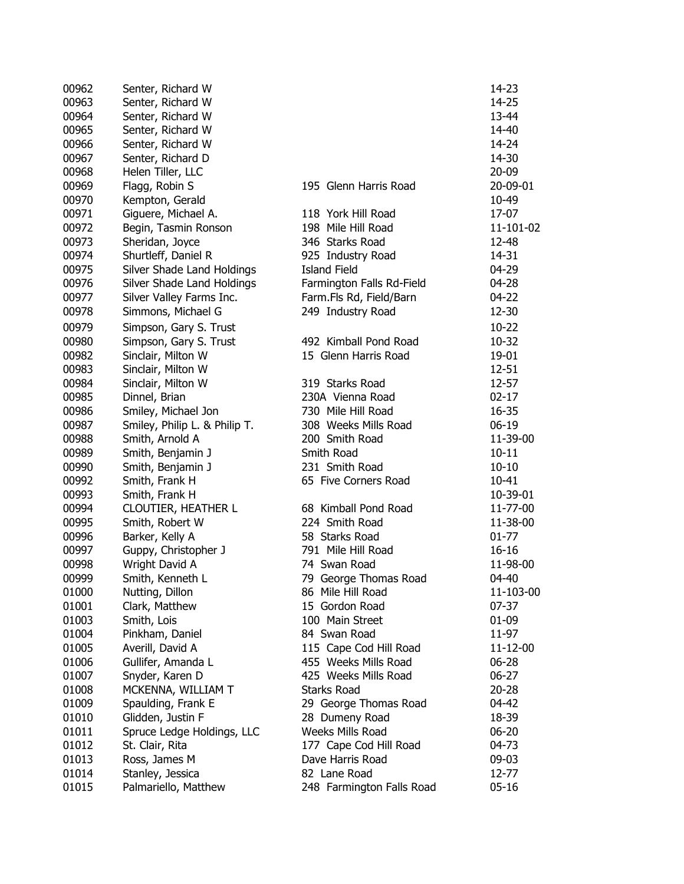| 00962 | Senter, Richard W             |                                          | 14-23     |
|-------|-------------------------------|------------------------------------------|-----------|
| 00963 | Senter, Richard W             |                                          | 14-25     |
| 00964 | Senter, Richard W             |                                          | 13-44     |
| 00965 | Senter, Richard W             |                                          | 14-40     |
| 00966 | Senter, Richard W             |                                          | 14-24     |
| 00967 | Senter, Richard D             |                                          | 14-30     |
| 00968 | Helen Tiller, LLC             |                                          | $20 - 09$ |
| 00969 | Flagg, Robin S                | 195 Glenn Harris Road                    | 20-09-01  |
| 00970 | Kempton, Gerald               |                                          | 10-49     |
| 00971 | Giguere, Michael A.           | 118 York Hill Road                       | 17-07     |
| 00972 | Begin, Tasmin Ronson          | 198 Mile Hill Road                       | 11-101-02 |
| 00973 | Sheridan, Joyce               | 346 Starks Road                          | 12-48     |
| 00974 |                               |                                          | 14-31     |
|       | Shurtleff, Daniel R           | 925 Industry Road<br><b>Island Field</b> |           |
| 00975 | Silver Shade Land Holdings    |                                          | 04-29     |
| 00976 | Silver Shade Land Holdings    | Farmington Falls Rd-Field                | 04-28     |
| 00977 | Silver Valley Farms Inc.      | Farm.Fls Rd, Field/Barn                  | 04-22     |
| 00978 | Simmons, Michael G            | 249 Industry Road                        | 12-30     |
| 00979 | Simpson, Gary S. Trust        |                                          | $10 - 22$ |
| 00980 | Simpson, Gary S. Trust        | 492 Kimball Pond Road                    | $10 - 32$ |
| 00982 | Sinclair, Milton W            | 15 Glenn Harris Road                     | 19-01     |
| 00983 | Sinclair, Milton W            |                                          | $12 - 51$ |
| 00984 | Sinclair, Milton W            | 319 Starks Road                          | 12-57     |
| 00985 | Dinnel, Brian                 | 230A Vienna Road                         | $02 - 17$ |
| 00986 | Smiley, Michael Jon           | 730 Mile Hill Road                       | 16-35     |
| 00987 | Smiley, Philip L. & Philip T. | 308 Weeks Mills Road                     | $06-19$   |
| 00988 | Smith, Arnold A               | 200 Smith Road                           | 11-39-00  |
| 00989 | Smith, Benjamin J             | Smith Road                               | $10 - 11$ |
| 00990 | Smith, Benjamin J             | 231 Smith Road                           | $10 - 10$ |
| 00992 | Smith, Frank H                | 65 Five Corners Road                     | $10 - 41$ |
| 00993 | Smith, Frank H                |                                          | 10-39-01  |
| 00994 | <b>CLOUTIER, HEATHER L</b>    | 68 Kimball Pond Road                     | 11-77-00  |
| 00995 | Smith, Robert W               | 224 Smith Road                           | 11-38-00  |
| 00996 | Barker, Kelly A               | 58 Starks Road                           | $01 - 77$ |
| 00997 | Guppy, Christopher J          | 791 Mile Hill Road                       | $16 - 16$ |
| 00998 | Wright David A                | 74 Swan Road                             | 11-98-00  |
| 00999 | Smith, Kenneth L              | 79 George Thomas Road                    | 04-40     |
| 01000 | Nutting, Dillon               | 86 Mile Hill Road                        | 11-103-00 |
| 01001 | Clark, Matthew                | 15 Gordon Road                           | $07 - 37$ |
| 01003 | Smith, Lois                   | 100 Main Street                          | 01-09     |
| 01004 | Pinkham, Daniel               | 84 Swan Road                             | 11-97     |
| 01005 | Averill, David A              | 115 Cape Cod Hill Road                   | 11-12-00  |
|       |                               | 455 Weeks Mills Road                     |           |
| 01006 | Gullifer, Amanda L            |                                          | 06-28     |
| 01007 | Snyder, Karen D               | 425 Weeks Mills Road                     | $06 - 27$ |
| 01008 | MCKENNA, WILLIAM T            | <b>Starks Road</b>                       | $20 - 28$ |
| 01009 | Spaulding, Frank E            | 29 George Thomas Road                    | 04-42     |
| 01010 | Glidden, Justin F             | 28 Dumeny Road                           | 18-39     |
| 01011 | Spruce Ledge Holdings, LLC    | Weeks Mills Road                         | $06 - 20$ |
| 01012 | St. Clair, Rita               | 177 Cape Cod Hill Road                   | 04-73     |
| 01013 | Ross, James M                 | Dave Harris Road                         | 09-03     |
| 01014 | Stanley, Jessica              | 82 Lane Road                             | 12-77     |
| 01015 | Palmariello, Matthew          | 248 Farmington Falls Road                | $05 - 16$ |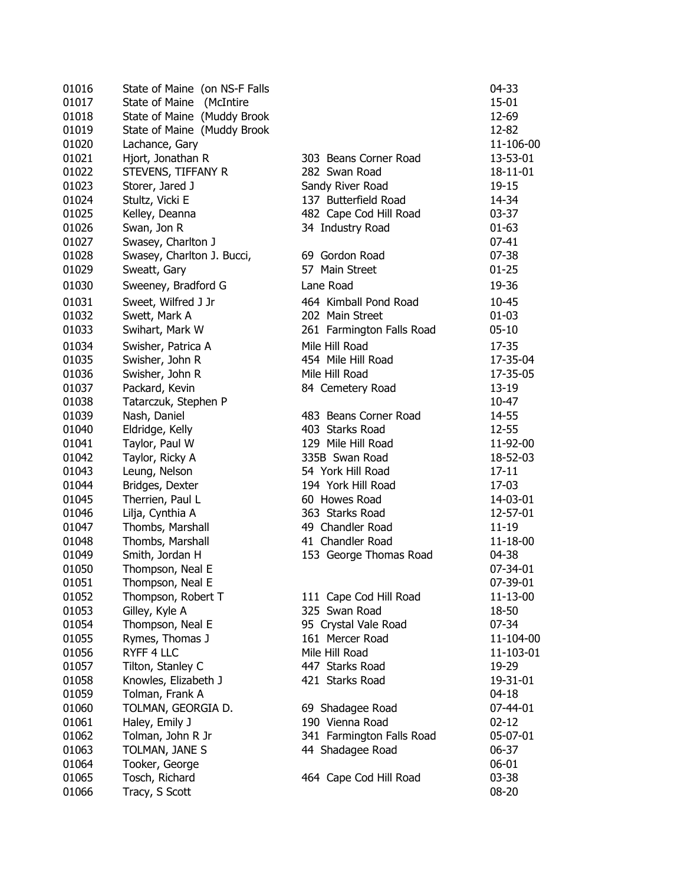| 01016 | State of Maine (on NS-F Falls |                           | 04-33     |
|-------|-------------------------------|---------------------------|-----------|
| 01017 | State of Maine (McIntire      |                           | $15 - 01$ |
| 01018 | State of Maine (Muddy Brook   |                           | 12-69     |
| 01019 | State of Maine (Muddy Brook   |                           | 12-82     |
| 01020 | Lachance, Gary                |                           | 11-106-00 |
| 01021 | Hjort, Jonathan R             | 303 Beans Corner Road     | 13-53-01  |
| 01022 | STEVENS, TIFFANY R            | 282 Swan Road             | 18-11-01  |
| 01023 | Storer, Jared J               | Sandy River Road          | 19-15     |
| 01024 | Stultz, Vicki E               | 137 Butterfield Road      | 14-34     |
| 01025 | Kelley, Deanna                | 482 Cape Cod Hill Road    | $03 - 37$ |
| 01026 | Swan, Jon R                   | 34 Industry Road          | $01 - 63$ |
| 01027 | Swasey, Charlton J            |                           | $07 - 41$ |
| 01028 | Swasey, Charlton J. Bucci,    | 69 Gordon Road            | $07 - 38$ |
| 01029 | Sweatt, Gary                  | 57 Main Street            | $01 - 25$ |
| 01030 | Sweeney, Bradford G           | Lane Road                 | 19-36     |
|       |                               |                           |           |
| 01031 | Sweet, Wilfred J Jr           | 464 Kimball Pond Road     | $10 - 45$ |
| 01032 | Swett, Mark A                 | 202 Main Street           | $01 - 03$ |
| 01033 | Swihart, Mark W               | 261 Farmington Falls Road | $05 - 10$ |
| 01034 | Swisher, Patrica A            | Mile Hill Road            | 17-35     |
| 01035 | Swisher, John R               | 454 Mile Hill Road        | 17-35-04  |
| 01036 | Swisher, John R               | Mile Hill Road            | 17-35-05  |
| 01037 | Packard, Kevin                | 84 Cemetery Road          | 13-19     |
| 01038 | Tatarczuk, Stephen P          |                           | 10-47     |
| 01039 | Nash, Daniel                  | 483 Beans Corner Road     | 14-55     |
| 01040 | Eldridge, Kelly               | 403 Starks Road           | 12-55     |
| 01041 | Taylor, Paul W                | 129 Mile Hill Road        | 11-92-00  |
| 01042 | Taylor, Ricky A               | 335B Swan Road            | 18-52-03  |
| 01043 | Leung, Nelson                 | 54 York Hill Road         | $17 - 11$ |
| 01044 | Bridges, Dexter               | 194 York Hill Road        | 17-03     |
| 01045 | Therrien, Paul L              | 60 Howes Road             | 14-03-01  |
| 01046 | Lilja, Cynthia A              | 363 Starks Road           | 12-57-01  |
| 01047 | Thombs, Marshall              | 49 Chandler Road          | $11 - 19$ |
| 01048 | Thombs, Marshall              | 41 Chandler Road          | 11-18-00  |
| 01049 | Smith, Jordan H               | 153 George Thomas Road    | 04-38     |
| 01050 | Thompson, Neal E              |                           | 07-34-01  |
| 01051 | Thompson, Neal E              |                           | 07-39-01  |
| 01052 | Thompson, Robert T            | 111 Cape Cod Hill Road    | 11-13-00  |
| 01053 | Gilley, Kyle A                | 325 Swan Road             | 18-50     |
| 01054 | Thompson, Neal E              | 95 Crystal Vale Road      | 07-34     |
| 01055 | Rymes, Thomas J               | 161 Mercer Road           | 11-104-00 |
| 01056 | RYFF 4 LLC                    | Mile Hill Road            | 11-103-01 |
| 01057 | Tilton, Stanley C             | 447 Starks Road           | 19-29     |
| 01058 | Knowles, Elizabeth J          | 421 Starks Road           | 19-31-01  |
| 01059 | Tolman, Frank A               |                           | $04 - 18$ |
| 01060 | TOLMAN, GEORGIA D.            | 69 Shadagee Road          | 07-44-01  |
| 01061 | Haley, Emily J                | 190 Vienna Road           | $02 - 12$ |
| 01062 | Tolman, John R Jr             | 341 Farmington Falls Road | 05-07-01  |
| 01063 | TOLMAN, JANE S                | 44 Shadagee Road          | 06-37     |
| 01064 | Tooker, George                |                           | $06 - 01$ |
| 01065 | Tosch, Richard                | 464 Cape Cod Hill Road    | 03-38     |
| 01066 | Tracy, S Scott                |                           | 08-20     |
|       |                               |                           |           |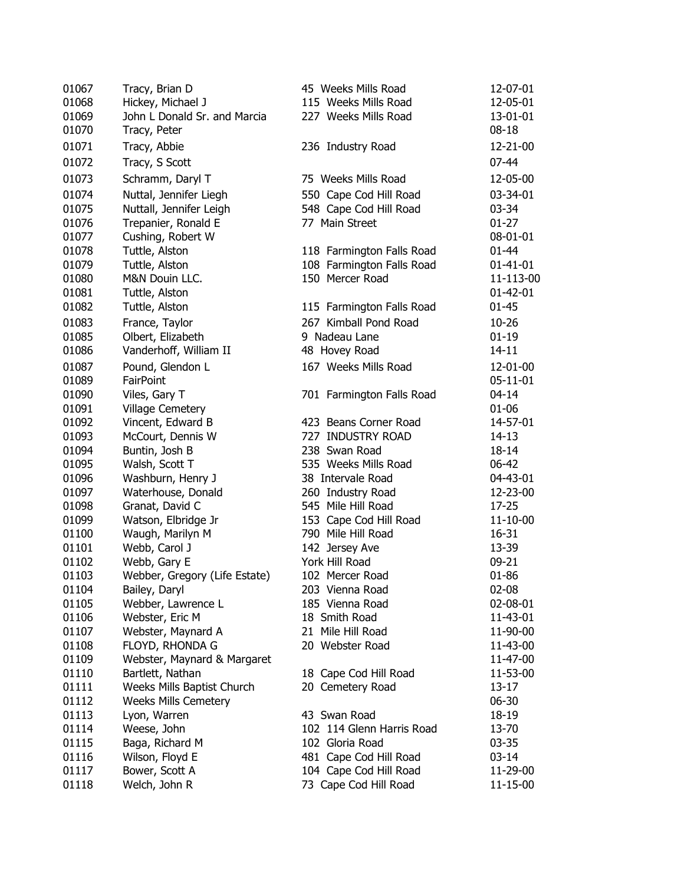| 01067 | Tracy, Brian D                | 45 Weeks Mills Road       | 12-07-01       |
|-------|-------------------------------|---------------------------|----------------|
| 01068 | Hickey, Michael J             | 115 Weeks Mills Road      | 12-05-01       |
| 01069 | John L Donald Sr. and Marcia  | 227 Weeks Mills Road      | 13-01-01       |
| 01070 | Tracy, Peter                  |                           | $08 - 18$      |
| 01071 | Tracy, Abbie                  | 236 Industry Road         | 12-21-00       |
| 01072 | Tracy, S Scott                |                           | $07 - 44$      |
| 01073 | Schramm, Daryl T              | 75 Weeks Mills Road       | 12-05-00       |
| 01074 | Nuttal, Jennifer Liegh        | 550 Cape Cod Hill Road    | 03-34-01       |
| 01075 | Nuttall, Jennifer Leigh       | 548 Cape Cod Hill Road    | 03-34          |
| 01076 | Trepanier, Ronald E           | 77 Main Street            | $01 - 27$      |
| 01077 | Cushing, Robert W             |                           | 08-01-01       |
| 01078 | Tuttle, Alston                | 118 Farmington Falls Road | $01 - 44$      |
| 01079 | Tuttle, Alston                | 108 Farmington Falls Road | $01 - 41 - 01$ |
| 01080 | M&N Douin LLC.                | 150 Mercer Road           | 11-113-00      |
| 01081 | Tuttle, Alston                |                           | $01 - 42 - 01$ |
| 01082 | Tuttle, Alston                | 115 Farmington Falls Road | $01 - 45$      |
| 01083 | France, Taylor                | 267 Kimball Pond Road     | 10-26          |
| 01085 | Olbert, Elizabeth             | 9 Nadeau Lane             | $01-19$        |
| 01086 | Vanderhoff, William II        | 48 Hovey Road             | $14 - 11$      |
| 01087 | Pound, Glendon L              | 167 Weeks Mills Road      | 12-01-00       |
|       | <b>FairPoint</b>              |                           |                |
| 01089 |                               |                           | 05-11-01       |
| 01090 | Viles, Gary T                 | 701 Farmington Falls Road | $04 - 14$      |
| 01091 | <b>Village Cemetery</b>       |                           | $01 - 06$      |
| 01092 | Vincent, Edward B             | 423 Beans Corner Road     | 14-57-01       |
| 01093 | McCourt, Dennis W             | 727 INDUSTRY ROAD         | 14-13          |
| 01094 | Buntin, Josh B                | 238 Swan Road             | 18-14          |
| 01095 | Walsh, Scott T                | 535 Weeks Mills Road      | 06-42          |
| 01096 | Washburn, Henry J             | 38 Intervale Road         | 04-43-01       |
| 01097 | Waterhouse, Donald            | 260 Industry Road         | 12-23-00       |
| 01098 | Granat, David C               | 545 Mile Hill Road        | 17-25          |
| 01099 | Watson, Elbridge Jr           | 153 Cape Cod Hill Road    | 11-10-00       |
| 01100 | Waugh, Marilyn M              | 790 Mile Hill Road        | 16-31          |
| 01101 | Webb, Carol J                 | 142 Jersey Ave            | 13-39          |
| 01102 | Webb, Gary E                  | York Hill Road            | 09-21          |
| 01103 | Webber, Gregory (Life Estate) | 102 Mercer Road           | $01 - 86$      |
| 01104 | Bailey, Daryl                 | 203 Vienna Road           | $02 - 08$      |
| 01105 | Webber, Lawrence L            | 185 Vienna Road           | 02-08-01       |
| 01106 | Webster, Eric M               | 18 Smith Road             | 11-43-01       |
| 01107 | Webster, Maynard A            | 21 Mile Hill Road         | 11-90-00       |
| 01108 | FLOYD, RHONDA G               | 20 Webster Road           | 11-43-00       |
| 01109 | Webster, Maynard & Margaret   |                           | 11-47-00       |
| 01110 | Bartlett, Nathan              | 18 Cape Cod Hill Road     | 11-53-00       |
| 01111 | Weeks Mills Baptist Church    | 20 Cemetery Road          | 13-17          |
| 01112 | <b>Weeks Mills Cemetery</b>   |                           | 06-30          |
| 01113 | Lyon, Warren                  | 43 Swan Road              | 18-19          |
| 01114 | Weese, John                   | 102 114 Glenn Harris Road | 13-70          |
| 01115 | Baga, Richard M               | 102 Gloria Road           | $03 - 35$      |
| 01116 | Wilson, Floyd E               | 481 Cape Cod Hill Road    | $03 - 14$      |
| 01117 | Bower, Scott A                | 104 Cape Cod Hill Road    | 11-29-00       |
| 01118 | Welch, John R                 | 73 Cape Cod Hill Road     | 11-15-00       |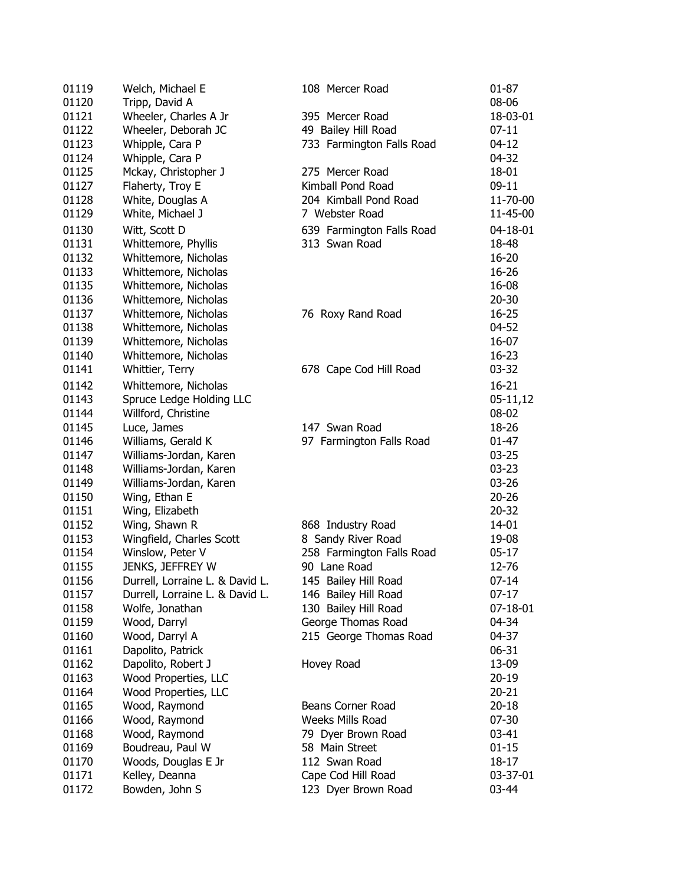| 01119 | Welch, Michael E                | 108 Mercer Road           | 01-87      |
|-------|---------------------------------|---------------------------|------------|
| 01120 | Tripp, David A                  |                           | 08-06      |
| 01121 | Wheeler, Charles A Jr           | 395 Mercer Road           | 18-03-01   |
| 01122 | Wheeler, Deborah JC             | 49 Bailey Hill Road       | $07-11$    |
| 01123 | Whipple, Cara P                 | 733 Farmington Falls Road | 04-12      |
| 01124 | Whipple, Cara P                 |                           | 04-32      |
| 01125 | Mckay, Christopher J            | 275 Mercer Road           | 18-01      |
| 01127 | Flaherty, Troy E                | Kimball Pond Road         | $09-11$    |
| 01128 | White, Douglas A                | 204 Kimball Pond Road     | 11-70-00   |
| 01129 | White, Michael J                | 7 Webster Road            | 11-45-00   |
| 01130 | Witt, Scott D                   | 639 Farmington Falls Road | 04-18-01   |
| 01131 | Whittemore, Phyllis             | 313 Swan Road             | 18-48      |
| 01132 | Whittemore, Nicholas            |                           | 16-20      |
| 01133 | Whittemore, Nicholas            |                           | 16-26      |
| 01135 | Whittemore, Nicholas            |                           | 16-08      |
| 01136 | Whittemore, Nicholas            |                           | $20 - 30$  |
| 01137 | Whittemore, Nicholas            | 76 Roxy Rand Road         | $16 - 25$  |
| 01138 | Whittemore, Nicholas            |                           | 04-52      |
| 01139 | Whittemore, Nicholas            |                           | 16-07      |
| 01140 | Whittemore, Nicholas            |                           | $16 - 23$  |
| 01141 | Whittier, Terry                 | 678 Cape Cod Hill Road    | $03 - 32$  |
| 01142 | Whittemore, Nicholas            |                           |            |
| 01143 |                                 |                           | $16 - 21$  |
|       | Spruce Ledge Holding LLC        |                           | $05-11,12$ |
| 01144 | Willford, Christine             |                           | 08-02      |
| 01145 | Luce, James                     | 147 Swan Road             | 18-26      |
| 01146 | Williams, Gerald K              | 97 Farmington Falls Road  | 01-47      |
| 01147 | Williams-Jordan, Karen          |                           | $03 - 25$  |
| 01148 | Williams-Jordan, Karen          |                           | $03 - 23$  |
| 01149 | Williams-Jordan, Karen          |                           | $03 - 26$  |
| 01150 | Wing, Ethan E                   |                           | $20 - 26$  |
| 01151 | Wing, Elizabeth                 |                           | $20 - 32$  |
| 01152 | Wing, Shawn R                   | 868 Industry Road         | $14 - 01$  |
| 01153 | Wingfield, Charles Scott        | 8 Sandy River Road        | 19-08      |
| 01154 | Winslow, Peter V                | 258 Farmington Falls Road | $05-17$    |
| 01155 | JENKS, JEFFREY W                | 90 Lane Road              | 12-76      |
| 01156 | Durrell, Lorraine L. & David L. | 145 Bailey Hill Road      | $07-14$    |
| 01157 | Durrell, Lorraine L. & David L. | 146 Bailey Hill Road      | $07-17$    |
| 01158 | Wolfe, Jonathan                 | 130 Bailey Hill Road      | 07-18-01   |
| 01159 | Wood, Darryl                    | George Thomas Road        | 04-34      |
| 01160 | Wood, Darryl A                  | 215 George Thomas Road    | 04-37      |
| 01161 | Dapolito, Patrick               |                           | $06 - 31$  |
| 01162 | Dapolito, Robert J              | Hovey Road                | 13-09      |
| 01163 | Wood Properties, LLC            |                           | $20 - 19$  |
| 01164 | Wood Properties, LLC            |                           | $20 - 21$  |
| 01165 | Wood, Raymond                   | Beans Corner Road         | $20 - 18$  |
| 01166 | Wood, Raymond                   | <b>Weeks Mills Road</b>   | $07 - 30$  |
| 01168 | Wood, Raymond                   | 79 Dyer Brown Road        | $03 - 41$  |
| 01169 | Boudreau, Paul W                | 58 Main Street            | $01 - 15$  |
| 01170 | Woods, Douglas E Jr             | 112 Swan Road             | 18-17      |
| 01171 | Kelley, Deanna                  | Cape Cod Hill Road        | 03-37-01   |
| 01172 | Bowden, John S                  | 123 Dyer Brown Road       | 03-44      |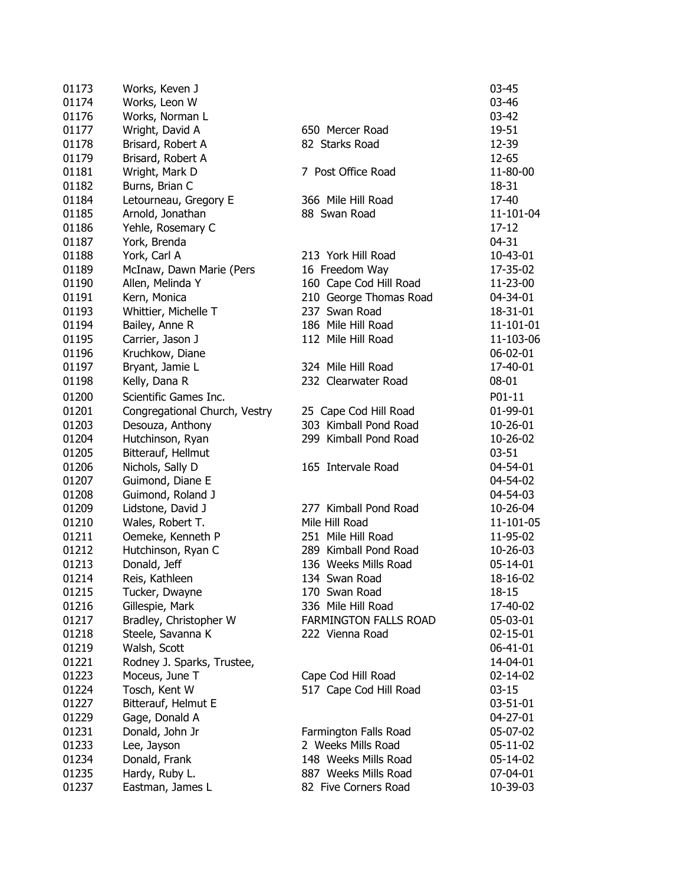| 01173 | Works, Keven J                |                              | $03 - 45$      |
|-------|-------------------------------|------------------------------|----------------|
| 01174 | Works, Leon W                 |                              | 03-46          |
| 01176 | Works, Norman L               |                              | $03 - 42$      |
| 01177 | Wright, David A               | 650 Mercer Road              | 19-51          |
| 01178 | Brisard, Robert A             | 82 Starks Road               | 12-39          |
| 01179 | Brisard, Robert A             |                              | 12-65          |
| 01181 | Wright, Mark D                | 7 Post Office Road           | 11-80-00       |
| 01182 | Burns, Brian C                |                              | 18-31          |
| 01184 | Letourneau, Gregory E         | 366 Mile Hill Road           | 17-40          |
| 01185 | Arnold, Jonathan              | 88 Swan Road                 | 11-101-04      |
| 01186 | Yehle, Rosemary C             |                              | 17-12          |
| 01187 | York, Brenda                  |                              | $04 - 31$      |
| 01188 | York, Carl A                  | 213 York Hill Road           | 10-43-01       |
| 01189 | McInaw, Dawn Marie (Pers      | 16 Freedom Way               | 17-35-02       |
| 01190 | Allen, Melinda Y              | 160 Cape Cod Hill Road       | 11-23-00       |
| 01191 | Kern, Monica                  | 210 George Thomas Road       | 04-34-01       |
| 01193 | Whittier, Michelle T          | 237 Swan Road                | 18-31-01       |
| 01194 | Bailey, Anne R                | 186 Mile Hill Road           | 11-101-01      |
| 01195 | Carrier, Jason J              | 112 Mile Hill Road           | 11-103-06      |
| 01196 | Kruchkow, Diane               |                              | $06 - 02 - 01$ |
| 01197 | Bryant, Jamie L               | 324 Mile Hill Road           | 17-40-01       |
| 01198 | Kelly, Dana R                 | 232 Clearwater Road          | 08-01          |
|       |                               |                              |                |
| 01200 | Scientific Games Inc.         |                              | P01-11         |
| 01201 | Congregational Church, Vestry | 25 Cape Cod Hill Road        | 01-99-01       |
| 01203 | Desouza, Anthony              | 303 Kimball Pond Road        | 10-26-01       |
| 01204 | Hutchinson, Ryan              | 299 Kimball Pond Road        | 10-26-02       |
| 01205 | Bitterauf, Hellmut            |                              | $03 - 51$      |
| 01206 | Nichols, Sally D              | 165 Intervale Road           | 04-54-01       |
| 01207 | Guimond, Diane E              |                              | 04-54-02       |
| 01208 | Guimond, Roland J             |                              | 04-54-03       |
| 01209 | Lidstone, David J             | 277 Kimball Pond Road        | 10-26-04       |
| 01210 | Wales, Robert T.              | Mile Hill Road               | 11-101-05      |
| 01211 | Oemeke, Kenneth P             | 251 Mile Hill Road           | 11-95-02       |
| 01212 | Hutchinson, Ryan C            | 289 Kimball Pond Road        | 10-26-03       |
| 01213 | Donald, Jeff                  | 136 Weeks Mills Road         | 05-14-01       |
| 01214 | Reis, Kathleen                | 134 Swan Road                | 18-16-02       |
| 01215 | Tucker, Dwayne                | 170 Swan Road                | 18-15          |
| 01216 | Gillespie, Mark               | 336 Mile Hill Road           | 17-40-02       |
| 01217 | Bradley, Christopher W        | <b>FARMINGTON FALLS ROAD</b> | 05-03-01       |
| 01218 | Steele, Savanna K             | 222 Vienna Road              | 02-15-01       |
| 01219 | Walsh, Scott                  |                              | 06-41-01       |
| 01221 | Rodney J. Sparks, Trustee,    |                              | 14-04-01       |
| 01223 | Moceus, June T                | Cape Cod Hill Road           | 02-14-02       |
| 01224 | Tosch, Kent W                 | 517 Cape Cod Hill Road       | $03 - 15$      |
| 01227 | Bitterauf, Helmut E           |                              | 03-51-01       |
| 01229 | Gage, Donald A                |                              | 04-27-01       |
| 01231 | Donald, John Jr               | Farmington Falls Road        | 05-07-02       |
| 01233 | Lee, Jayson                   | 2 Weeks Mills Road           | 05-11-02       |
| 01234 | Donald, Frank                 | 148 Weeks Mills Road         | 05-14-02       |
| 01235 | Hardy, Ruby L.                | 887 Weeks Mills Road         | 07-04-01       |
| 01237 | Eastman, James L              | 82 Five Corners Road         | 10-39-03       |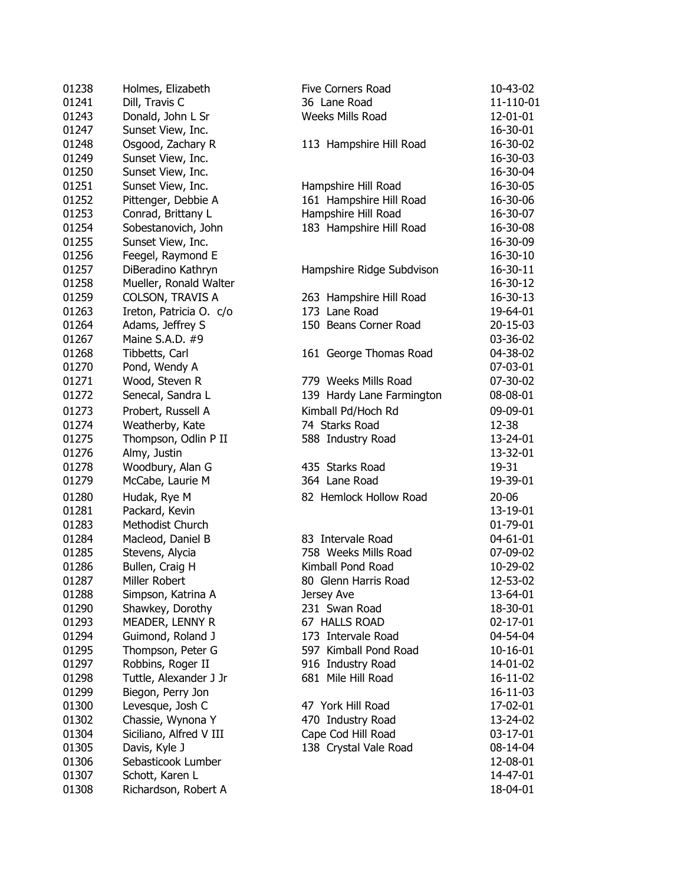| 01238          | Holmes, Elizabeth       |
|----------------|-------------------------|
| 01241          | Dill, Travis C          |
| 01243          | Donald, John L Sr       |
| 01247          | Sunset View, Inc.       |
| 01248          | Osgood, Zachary R       |
| 01249          | Sunset View, Inc.       |
| 01250          | Sunset View, Inc.       |
| 01251          | Sunset View, Inc.       |
| 01252          | Pittenger, Debbie A     |
| 01253          |                         |
|                | Conrad, Brittany L      |
| 01254          | Sobestanovich, John     |
| 01255          | Sunset View, Inc.       |
| 01256          | Feegel, Raymond E       |
| 01257          | DiBeradino Kathryn      |
| 01258          | Mueller, Ronald Walter  |
| 01259          | COLSON, TRAVIS A        |
| 01263          | Ireton, Patricia O. c/o |
| 01264          | Adams, Jeffrey S        |
| 01267          | Maine S.A.D. #9         |
| 01268          | Tibbetts, Carl          |
| 01270          | Pond, Wendy A           |
| 01271          | Wood, Steven R          |
| 01272          | Senecal, Sandra L       |
| 01273          | Probert, Russell A      |
| 01274          | Weatherby, Kate         |
| 01275          | Thompson, Odlin P II    |
| 01276          |                         |
|                | Almy, Justin            |
| 01278<br>01279 | Woodbury, Alan G        |
|                | McCabe, Laurie M        |
| 01280          | Hudak, Rye M            |
| 01281          | Packard, Kevin          |
| 01283          | Methodist Church        |
| 01284          | Macleod, Daniel B       |
| 01285          | Stevens, Alycia         |
| 01286          | Bullen, Craig H         |
| 01287          | Miller Robert           |
| 01288          | Simpson, Katrina A      |
| 01290          | Shawkey, Dorothy        |
| 01293          | MEADER, LENNY R         |
| 01294          | Guimond, Roland J       |
| 01295          | Thompson, Peter G       |
| 01297          | Robbins, Roger II       |
| 01298          | Tuttle, Alexander J Jr  |
| 01299          | Biegon, Perry Jon       |
| 01300          | Levesque, Josh C        |
| 01302          | Chassie, Wynona Y       |
| 01304          | Siciliano, Alfred V III |
| 01305          | Davis, Kyle J           |
| 01306          | Sebasticook Lumber      |
| 01307          | Schott, Karen L         |
|                |                         |
| 01308          | Richardson, Robert A    |

| 01238 | Holmes, Elizabeth       | Five Corners Road         | 10-43-02  |
|-------|-------------------------|---------------------------|-----------|
| 01241 | Dill, Travis C          | 36 Lane Road              | 11-110-01 |
| 01243 | Donald, John L Sr       | Weeks Mills Road          | 12-01-01  |
| 01247 | Sunset View, Inc.       |                           | 16-30-01  |
| 01248 | Osgood, Zachary R       | 113 Hampshire Hill Road   | 16-30-02  |
| 01249 | Sunset View, Inc.       |                           | 16-30-03  |
| 01250 | Sunset View, Inc.       |                           | 16-30-04  |
| 01251 | Sunset View, Inc.       | Hampshire Hill Road       | 16-30-05  |
| 01252 | Pittenger, Debbie A     | 161 Hampshire Hill Road   | 16-30-06  |
| 01253 | Conrad, Brittany L      | Hampshire Hill Road       | 16-30-07  |
| 01254 | Sobestanovich, John     | 183 Hampshire Hill Road   | 16-30-08  |
| 01255 | Sunset View, Inc.       |                           | 16-30-09  |
| 01256 | Feegel, Raymond E       |                           | 16-30-10  |
| 01257 | DiBeradino Kathryn      | Hampshire Ridge Subdvison | 16-30-11  |
| 01258 | Mueller, Ronald Walter  |                           | 16-30-12  |
| 01259 | <b>COLSON, TRAVIS A</b> | 263 Hampshire Hill Road   | 16-30-13  |
| 01263 | Ireton, Patricia O. c/o | 173 Lane Road             | 19-64-01  |
| 01264 | Adams, Jeffrey S        | 150 Beans Corner Road     | 20-15-03  |
| 01267 | Maine S.A.D. #9         |                           | 03-36-02  |
| 01268 | Tibbetts, Carl          | 161 George Thomas Road    | 04-38-02  |
| 01270 | Pond, Wendy A           |                           | 07-03-01  |
| 01271 | Wood, Steven R          | 779 Weeks Mills Road      | 07-30-02  |
| 01272 | Senecal, Sandra L       | 139 Hardy Lane Farmington | 08-08-01  |
| 01273 | Probert, Russell A      | Kimball Pd/Hoch Rd        | 09-09-01  |
| 01274 | Weatherby, Kate         | 74 Starks Road            | 12-38     |
| 01275 | Thompson, Odlin P II    | 588 Industry Road         | 13-24-01  |
| 01276 | Almy, Justin            |                           | 13-32-01  |
| 01278 | Woodbury, Alan G        | 435 Starks Road           | 19-31     |
| 01279 | McCabe, Laurie M        | 364 Lane Road             | 19-39-01  |
| 01280 | Hudak, Rye M            | 82 Hemlock Hollow Road    | $20 - 06$ |
| 01281 | Packard, Kevin          |                           | 13-19-01  |
| 01283 | Methodist Church        |                           | 01-79-01  |
| 01284 | Macleod, Daniel B       | 83 Intervale Road         | 04-61-01  |
| 01285 | Stevens, Alycia         | 758 Weeks Mills Road      | 07-09-02  |
| 01286 | Bullen, Craig H         | Kimball Pond Road         | 10-29-02  |
| 01287 | Miller Robert           | 80 Glenn Harris Road      | 12-53-02  |
| 01288 | Simpson, Katrina A      | Jersey Ave                | 13-64-01  |
| 01290 | Shawkey, Dorothy        | 231 Swan Road             | 18-30-01  |
| 01293 | MEADER, LENNY R         | 67 HALLS ROAD             | 02-17-01  |
| 01294 | Guimond, Roland J       | 173 Intervale Road        | 04-54-04  |
| 01295 | Thompson, Peter G       | 597 Kimball Pond Road     | 10-16-01  |
| 01297 | Robbins, Roger II       | 916 Industry Road         | 14-01-02  |
| 01298 | Tuttle, Alexander J Jr  | 681 Mile Hill Road        | 16-11-02  |
| 01299 | Biegon, Perry Jon       |                           | 16-11-03  |
| 01300 | Levesque, Josh C        | 47 York Hill Road         | 17-02-01  |
| 01302 | Chassie, Wynona Y       | 470 Industry Road         | 13-24-02  |
| 01304 | Siciliano, Alfred V III | Cape Cod Hill Road        | 03-17-01  |
| 01305 | Davis, Kyle J           | 138 Crystal Vale Road     | 08-14-04  |
| 01306 | Sebasticook Lumber      |                           | 12-08-01  |
| 01307 | Schott, Karen L         |                           | 14-47-01  |
| 01308 | Richardson, Robert A    |                           | 18-04-01  |
|       |                         |                           |           |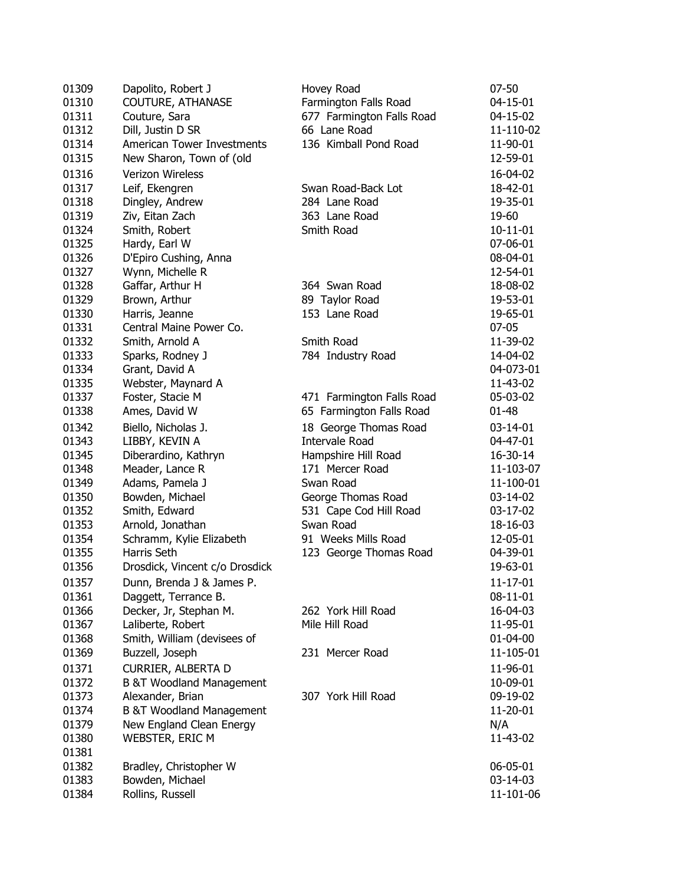| 01309 | Dapolito, Robert J                                | Hovey Road                | $07 - 50$      |
|-------|---------------------------------------------------|---------------------------|----------------|
| 01310 | <b>COUTURE, ATHANASE</b>                          | Farmington Falls Road     | 04-15-01       |
| 01311 | Couture, Sara                                     | 677 Farmington Falls Road | 04-15-02       |
| 01312 | Dill, Justin D SR                                 | 66 Lane Road              | 11-110-02      |
| 01314 | American Tower Investments                        | 136 Kimball Pond Road     | 11-90-01       |
| 01315 | New Sharon, Town of (old                          |                           | 12-59-01       |
| 01316 | Verizon Wireless                                  |                           | 16-04-02       |
| 01317 | Leif, Ekengren                                    | Swan Road-Back Lot        | 18-42-01       |
| 01318 | Dingley, Andrew                                   | 284 Lane Road             | 19-35-01       |
| 01319 | Ziv, Eitan Zach                                   | 363 Lane Road             | 19-60          |
| 01324 | Smith, Robert                                     | Smith Road                | $10 - 11 - 01$ |
| 01325 | Hardy, Earl W                                     |                           | 07-06-01       |
| 01326 | D'Epiro Cushing, Anna                             |                           | 08-04-01       |
| 01327 | Wynn, Michelle R                                  |                           | 12-54-01       |
| 01328 | Gaffar, Arthur H                                  | 364 Swan Road             | 18-08-02       |
| 01329 | Brown, Arthur                                     | 89 Taylor Road            | 19-53-01       |
| 01330 | Harris, Jeanne                                    | 153 Lane Road             | 19-65-01       |
| 01331 | Central Maine Power Co.                           |                           | $07 - 05$      |
| 01332 | Smith, Arnold A                                   | Smith Road                | 11-39-02       |
| 01333 | Sparks, Rodney J                                  | 784 Industry Road         | 14-04-02       |
| 01334 | Grant, David A                                    |                           | 04-073-01      |
| 01335 | Webster, Maynard A                                |                           | 11-43-02       |
| 01337 | Foster, Stacie M                                  | 471 Farmington Falls Road | 05-03-02       |
| 01338 | Ames, David W                                     | 65 Farmington Falls Road  | $01 - 48$      |
| 01342 | Biello, Nicholas J.                               | 18 George Thomas Road     | $03-14-01$     |
| 01343 | LIBBY, KEVIN A                                    | <b>Intervale Road</b>     | 04-47-01       |
| 01345 | Diberardino, Kathryn                              | Hampshire Hill Road       | 16-30-14       |
| 01348 | Meader, Lance R                                   | 171 Mercer Road           | 11-103-07      |
| 01349 | Adams, Pamela J                                   | Swan Road                 | 11-100-01      |
| 01350 | Bowden, Michael                                   | George Thomas Road        | 03-14-02       |
| 01352 | Smith, Edward                                     | 531 Cape Cod Hill Road    | 03-17-02       |
| 01353 | Arnold, Jonathan                                  | Swan Road                 | 18-16-03       |
| 01354 | Schramm, Kylie Elizabeth                          | 91 Weeks Mills Road       | 12-05-01       |
| 01355 | Harris Seth                                       | 123 George Thomas Road    | 04-39-01       |
| 01356 | Drosdick, Vincent c/o Drosdick                    |                           | 19-63-01       |
| 01357 |                                                   |                           | $11 - 17 - 01$ |
| 01361 | Dunn, Brenda J & James P.<br>Daggett, Terrance B. |                           | 08-11-01       |
| 01366 | Decker, Jr, Stephan M.                            | 262 York Hill Road        | 16-04-03       |
| 01367 | Laliberte, Robert                                 | Mile Hill Road            | 11-95-01       |
| 01368 | Smith, William (devisees of                       |                           | 01-04-00       |
| 01369 | Buzzell, Joseph                                   | 231 Mercer Road           | 11-105-01      |
|       |                                                   |                           |                |
| 01371 | CURRIER, ALBERTA D                                |                           | 11-96-01       |
| 01372 | <b>B &amp;T Woodland Management</b>               |                           | 10-09-01       |
| 01373 | Alexander, Brian                                  | 307 York Hill Road        | 09-19-02       |
| 01374 | <b>B &amp;T Woodland Management</b>               |                           | 11-20-01       |
| 01379 | New England Clean Energy                          |                           | N/A            |
| 01380 | <b>WEBSTER, ERIC M</b>                            |                           | 11-43-02       |
| 01381 |                                                   |                           |                |
| 01382 | Bradley, Christopher W                            |                           | 06-05-01       |
| 01383 | Bowden, Michael                                   |                           | 03-14-03       |
| 01384 | Rollins, Russell                                  |                           | 11-101-06      |